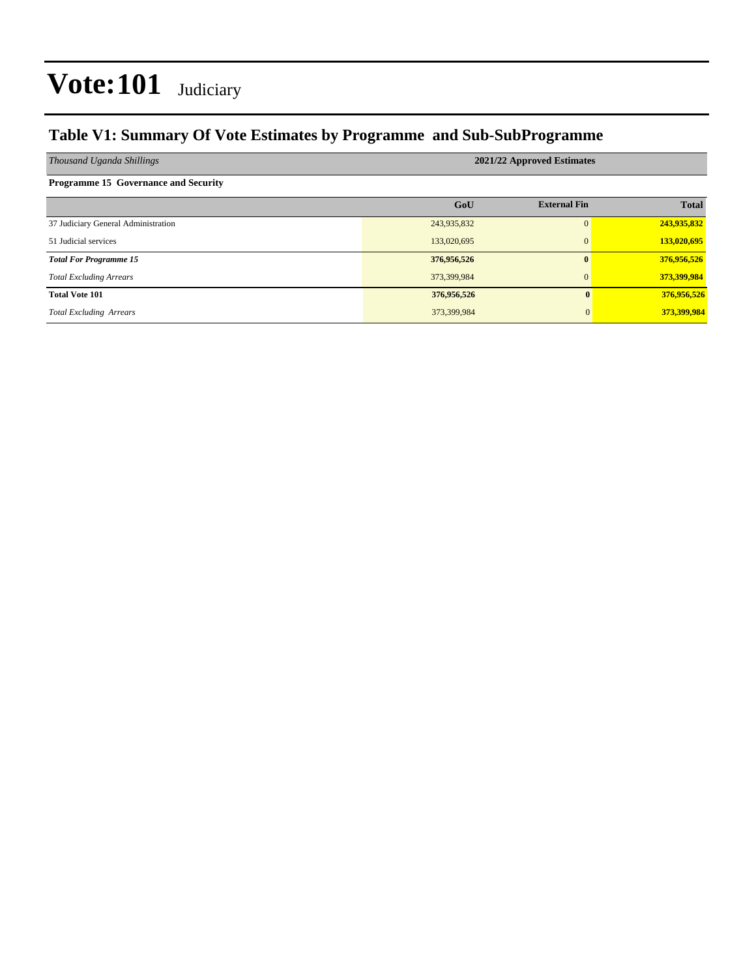### **Table V1: Summary Of Vote Estimates by Programme and Sub-SubProgramme**

| Thousand Uganda Shillings                   | 2021/22 Approved Estimates |                     |              |  |  |  |  |  |
|---------------------------------------------|----------------------------|---------------------|--------------|--|--|--|--|--|
| <b>Programme 15 Governance and Security</b> |                            |                     |              |  |  |  |  |  |
|                                             | GoU                        | <b>External Fin</b> | <b>Total</b> |  |  |  |  |  |
| 37 Judiciary General Administration         | 243,935,832                | 0                   | 243,935,832  |  |  |  |  |  |
| 51 Judicial services                        | 133,020,695                | $\mathbf{0}$        | 133,020,695  |  |  |  |  |  |
| <b>Total For Programme 15</b>               | 376,956,526                | $\mathbf{0}$        | 376,956,526  |  |  |  |  |  |
| <b>Total Excluding Arrears</b>              | 373,399,984                | $\Omega$            | 373,399,984  |  |  |  |  |  |
| <b>Total Vote 101</b>                       | 376,956,526                | $\mathbf{0}$        | 376,956,526  |  |  |  |  |  |
| <b>Total Excluding Arrears</b>              | 373,399,984                | $\Omega$            | 373,399,984  |  |  |  |  |  |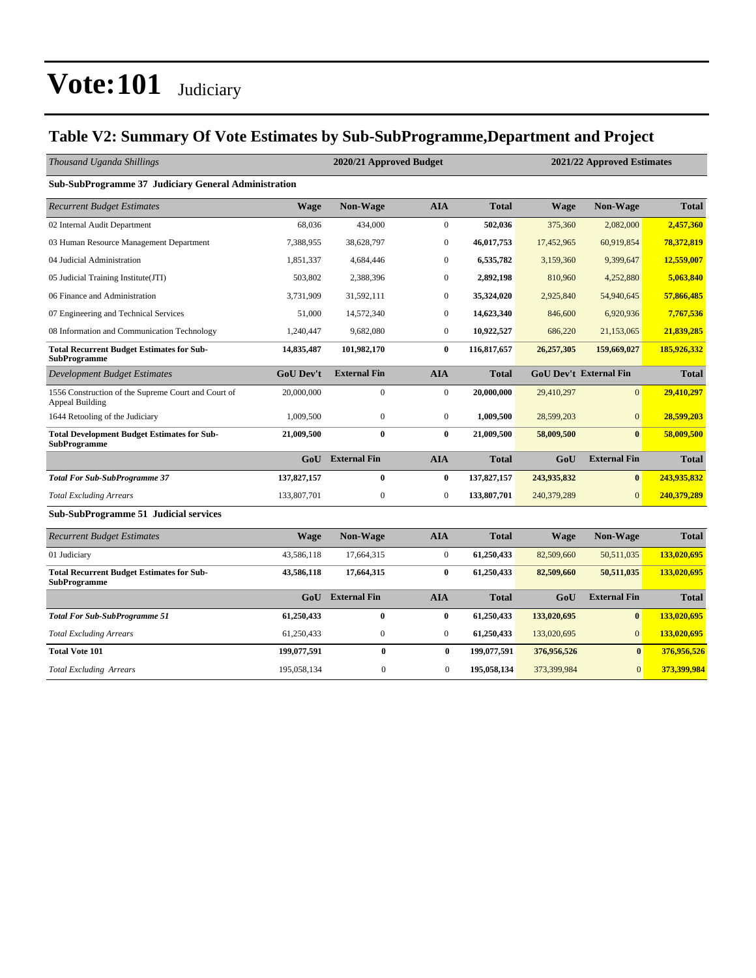### **Table V2: Summary Of Vote Estimates by Sub-SubProgramme,Department and Project**

| Thousand Uganda Shillings                                                     |                  | 2020/21 Approved Budget |                  |              | 2021/22 Approved Estimates |                               |              |
|-------------------------------------------------------------------------------|------------------|-------------------------|------------------|--------------|----------------------------|-------------------------------|--------------|
| Sub-SubProgramme 37 Judiciary General Administration                          |                  |                         |                  |              |                            |                               |              |
| <b>Recurrent Budget Estimates</b>                                             | <b>Wage</b>      | Non-Wage                | <b>AIA</b>       | <b>Total</b> | <b>Wage</b>                | Non-Wage                      | <b>Total</b> |
| 02 Internal Audit Department                                                  | 68,036           | 434,000                 | $\boldsymbol{0}$ | 502,036      | 375,360                    | 2,082,000                     | 2,457,360    |
| 03 Human Resource Management Department                                       | 7,388,955        | 38,628,797              | $\mathbf{0}$     | 46,017,753   | 17,452,965                 | 60,919,854                    | 78,372,819   |
| 04 Judicial Administration                                                    | 1,851,337        | 4,684,446               | $\mathbf{0}$     | 6,535,782    | 3,159,360                  | 9,399,647                     | 12,559,007   |
| 05 Judicial Training Institute(JTI)                                           | 503,802          | 2,388,396               | $\mathbf{0}$     | 2,892,198    | 810,960                    | 4,252,880                     | 5,063,840    |
| 06 Finance and Administration                                                 | 3,731,909        | 31,592,111              | $\mathbf{0}$     | 35,324,020   | 2,925,840                  | 54,940,645                    | 57,866,485   |
| 07 Engineering and Technical Services                                         | 51,000           | 14,572,340              | $\mathbf{0}$     | 14,623,340   | 846,600                    | 6,920,936                     | 7,767,536    |
| 08 Information and Communication Technology                                   | 1,240,447        | 9,682,080               | $\overline{0}$   | 10,922,527   | 686,220                    | 21,153,065                    | 21,839,285   |
| <b>Total Recurrent Budget Estimates for Sub-</b><br><b>SubProgramme</b>       | 14,835,487       | 101,982,170             | $\bf{0}$         | 116,817,657  | 26,257,305                 | 159,669,027                   | 185,926,332  |
| <b>Development Budget Estimates</b>                                           | <b>GoU Dev't</b> | <b>External Fin</b>     | <b>AIA</b>       | <b>Total</b> |                            | <b>GoU Dev't External Fin</b> | <b>Total</b> |
| 1556 Construction of the Supreme Court and Court of<br><b>Appeal Building</b> | 20,000,000       | $\boldsymbol{0}$        | $\boldsymbol{0}$ | 20,000,000   | 29,410,297                 | $\overline{0}$                | 29,410,297   |
| 1644 Retooling of the Judiciary                                               | 1,009,500        | $\boldsymbol{0}$        | $\boldsymbol{0}$ | 1,009,500    | 28,599,203                 | $\boldsymbol{0}$              | 28,599,203   |
| <b>Total Development Budget Estimates for Sub-</b><br><b>SubProgramme</b>     | 21,009,500       | $\bf{0}$                | $\bf{0}$         | 21,009,500   | 58,009,500                 | $\mathbf{0}$                  | 58,009,500   |
|                                                                               | GoU              | <b>External Fin</b>     | <b>AIA</b>       | <b>Total</b> | GoU                        | <b>External Fin</b>           | <b>Total</b> |
| <b>Total For Sub-SubProgramme 37</b>                                          | 137,827,157      | $\bf{0}$                | $\bf{0}$         | 137,827,157  | 243,935,832                | $\bf{0}$                      | 243,935,832  |
| <b>Total Excluding Arrears</b>                                                | 133,807,701      | $\boldsymbol{0}$        | $\boldsymbol{0}$ | 133,807,701  | 240,379,289                | $\overline{0}$                | 240,379,289  |
| <b>Sub-SubProgramme 51 Judicial services</b>                                  |                  |                         |                  |              |                            |                               |              |
| <b>Recurrent Budget Estimates</b>                                             | <b>Wage</b>      | Non-Wage                | <b>AIA</b>       | <b>Total</b> | <b>Wage</b>                | Non-Wage                      | <b>Total</b> |
| 01 Judiciary                                                                  | 43,586,118       | 17,664,315              | $\boldsymbol{0}$ | 61,250,433   | 82,509,660                 | 50,511,035                    | 133,020,695  |
| <b>Total Recurrent Budget Estimates for Sub-</b><br><b>SubProgramme</b>       | 43,586,118       | 17,664,315              | $\bf{0}$         | 61,250,433   | 82,509,660                 | 50,511,035                    | 133,020,695  |
|                                                                               | GoU              | <b>External Fin</b>     | <b>AIA</b>       | <b>Total</b> | GoU                        | <b>External Fin</b>           | <b>Total</b> |
| <b>Total For Sub-SubProgramme 51</b>                                          | 61,250,433       | $\bf{0}$                | $\bf{0}$         | 61,250,433   | 133,020,695                | $\bf{0}$                      | 133,020,695  |
| <b>Total Excluding Arrears</b>                                                | 61,250,433       | $\boldsymbol{0}$        | $\boldsymbol{0}$ | 61,250,433   | 133,020,695                | $\overline{0}$                | 133,020,695  |
| <b>Total Vote 101</b>                                                         | 199,077,591      | $\bf{0}$                | $\bf{0}$         | 199,077,591  | 376,956,526                | $\bf{0}$                      | 376,956,526  |
| <b>Total Excluding Arrears</b>                                                | 195,058,134      | $\mathbf{0}$            | $\mathbf{0}$     | 195,058,134  | 373,399,984                | $\overline{0}$                | 373,399,984  |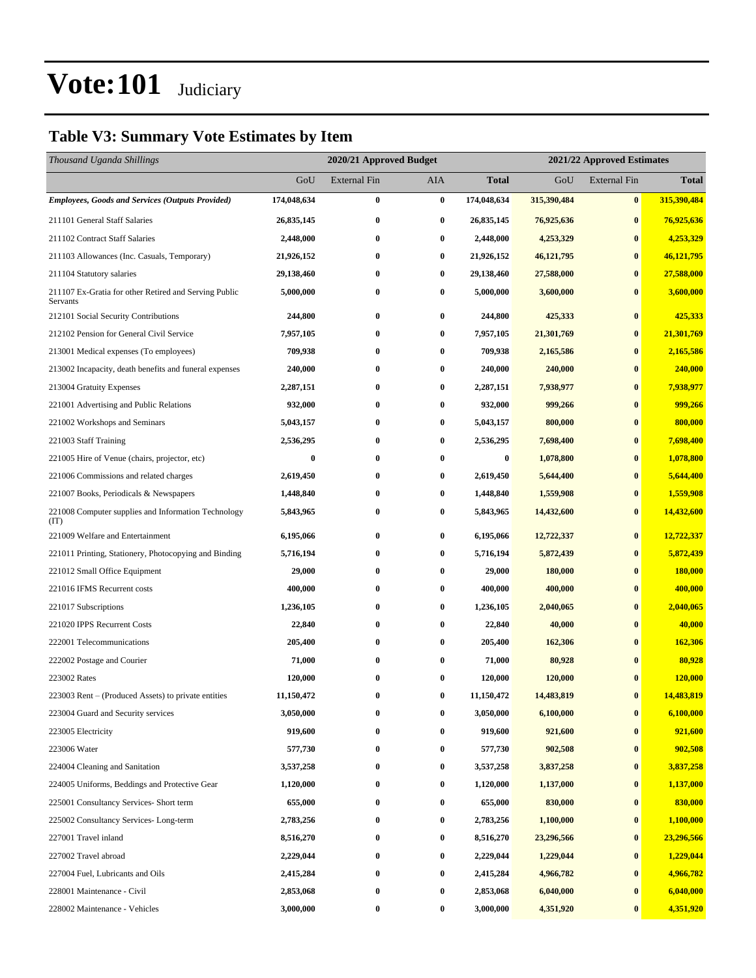### **Table V3: Summary Vote Estimates by Item**

| Thousand Uganda Shillings                                         |                  | 2020/21 Approved Budget<br>2021/22 Approved Estimates |          |                  |              |                     |              |
|-------------------------------------------------------------------|------------------|-------------------------------------------------------|----------|------------------|--------------|---------------------|--------------|
|                                                                   | GoU              | External Fin                                          | AIA      | Total            | GoU          | <b>External Fin</b> | <b>Total</b> |
| <b>Employees, Goods and Services (Outputs Provided)</b>           | 174,048,634      | $\bf{0}$                                              | $\bf{0}$ | 174,048,634      | 315,390,484  | $\bf{0}$            | 315,390,484  |
| 211101 General Staff Salaries                                     | 26,835,145       | $\bf{0}$                                              | $\bf{0}$ | 26,835,145       | 76,925,636   | $\bf{0}$            | 76,925,636   |
| 211102 Contract Staff Salaries                                    | 2,448,000        | 0                                                     | $\bf{0}$ | 2,448,000        | 4,253,329    | $\bf{0}$            | 4,253,329    |
| 211103 Allowances (Inc. Casuals, Temporary)                       | 21,926,152       | 0                                                     | $\bf{0}$ | 21,926,152       | 46, 121, 795 | $\bf{0}$            | 46,121,795   |
| 211104 Statutory salaries                                         | 29,138,460       | 0                                                     | $\bf{0}$ | 29,138,460       | 27,588,000   | $\bf{0}$            | 27,588,000   |
| 211107 Ex-Gratia for other Retired and Serving Public<br>Servants | 5,000,000        | $\bf{0}$                                              | $\bf{0}$ | 5,000,000        | 3,600,000    | $\bf{0}$            | 3,600,000    |
| 212101 Social Security Contributions                              | 244,800          | 0                                                     | $\bf{0}$ | 244,800          | 425,333      | $\bf{0}$            | 425,333      |
| 212102 Pension for General Civil Service                          | 7,957,105        | $\bf{0}$                                              | $\bf{0}$ | 7,957,105        | 21,301,769   | $\bf{0}$            | 21,301,769   |
| 213001 Medical expenses (To employees)                            | 709,938          | 0                                                     | $\bf{0}$ | 709,938          | 2,165,586    | $\bf{0}$            | 2,165,586    |
| 213002 Incapacity, death benefits and funeral expenses            | 240,000          | $\bf{0}$                                              | $\bf{0}$ | 240,000          | 240,000      | $\bf{0}$            | 240,000      |
| 213004 Gratuity Expenses                                          | 2,287,151        | 0                                                     | $\bf{0}$ | 2,287,151        | 7,938,977    | $\bf{0}$            | 7,938,977    |
| 221001 Advertising and Public Relations                           | 932,000          | 0                                                     | $\bf{0}$ | 932,000          | 999,266      | $\bf{0}$            | 999,266      |
| 221002 Workshops and Seminars                                     | 5,043,157        | $\bf{0}$                                              | $\bf{0}$ | 5,043,157        | 800,000      | $\bf{0}$            | 800,000      |
| 221003 Staff Training                                             | 2,536,295        | 0                                                     | $\bf{0}$ | 2,536,295        | 7,698,400    | $\bf{0}$            | 7,698,400    |
| 221005 Hire of Venue (chairs, projector, etc)                     | $\boldsymbol{0}$ | $\bf{0}$                                              | $\bf{0}$ | $\boldsymbol{0}$ | 1,078,800    | $\bf{0}$            | 1,078,800    |
| 221006 Commissions and related charges                            | 2,619,450        | $\bf{0}$                                              | $\bf{0}$ | 2,619,450        | 5,644,400    | $\bf{0}$            | 5,644,400    |
| 221007 Books, Periodicals & Newspapers                            | 1,448,840        | 0                                                     | $\bf{0}$ | 1,448,840        | 1,559,908    | $\bf{0}$            | 1,559,908    |
| 221008 Computer supplies and Information Technology<br>(TT)       | 5,843,965        | $\bf{0}$                                              | $\bf{0}$ | 5,843,965        | 14,432,600   | $\bf{0}$            | 14,432,600   |
| 221009 Welfare and Entertainment                                  | 6,195,066        | $\bf{0}$                                              | $\bf{0}$ | 6,195,066        | 12,722,337   | $\bf{0}$            | 12,722,337   |
| 221011 Printing, Stationery, Photocopying and Binding             | 5,716,194        | $\bf{0}$                                              | $\bf{0}$ | 5,716,194        | 5,872,439    | $\bf{0}$            | 5,872,439    |
| 221012 Small Office Equipment                                     | 29,000           | $\bf{0}$                                              | $\bf{0}$ | 29,000           | 180,000      | $\bf{0}$            | 180,000      |
| 221016 IFMS Recurrent costs                                       | 400,000          | 0                                                     | $\bf{0}$ | 400,000          | 400,000      | $\bf{0}$            | 400,000      |
| 221017 Subscriptions                                              | 1,236,105        | 0                                                     | $\bf{0}$ | 1,236,105        | 2,040,065    | $\bf{0}$            | 2,040,065    |
| 221020 IPPS Recurrent Costs                                       | 22,840           | $\bf{0}$                                              | $\bf{0}$ | 22,840           | 40,000       | $\bf{0}$            | 40,000       |
| 222001 Telecommunications                                         | 205,400          | 0                                                     | $\bf{0}$ | 205,400          | 162,306      | $\bf{0}$            | 162,306      |
| 222002 Postage and Courier                                        | 71,000           | 0                                                     | $\bf{0}$ | 71,000           | 80,928       | $\bf{0}$            | 80,928       |
| 223002 Rates                                                      | 120,000          | $\bf{0}$                                              | $\bf{0}$ | 120,000          | 120,000      | $\bf{0}$            | 120,000      |
| 223003 Rent – (Produced Assets) to private entities               | 11,150,472       | $\bf{0}$                                              | $\bf{0}$ | 11,150,472       | 14,483,819   | $\bf{0}$            | 14,483,819   |
| 223004 Guard and Security services                                | 3,050,000        | $\bf{0}$                                              | $\bf{0}$ | 3,050,000        | 6,100,000    | $\bf{0}$            | 6,100,000    |
| 223005 Electricity                                                | 919,600          | $\bf{0}$                                              | $\bf{0}$ | 919,600          | 921,600      | $\bf{0}$            | 921,600      |
| 223006 Water                                                      | 577,730          | $\bf{0}$                                              | $\bf{0}$ | 577,730          | 902,508      | $\bf{0}$            | 902,508      |
| 224004 Cleaning and Sanitation                                    | 3,537,258        | $\bf{0}$                                              | $\bf{0}$ | 3,537,258        | 3,837,258    | $\bf{0}$            | 3,837,258    |
| 224005 Uniforms, Beddings and Protective Gear                     | 1,120,000        | $\bf{0}$                                              | $\bf{0}$ | 1,120,000        | 1,137,000    | $\bf{0}$            | 1,137,000    |
| 225001 Consultancy Services- Short term                           | 655,000          | $\bf{0}$                                              | $\bf{0}$ | 655,000          | 830,000      | $\bf{0}$            | 830,000      |
| 225002 Consultancy Services-Long-term                             | 2,783,256        | $\bf{0}$                                              | $\bf{0}$ | 2,783,256        | 1,100,000    | $\bf{0}$            | 1,100,000    |
| 227001 Travel inland                                              | 8,516,270        | $\bf{0}$                                              | $\bf{0}$ | 8,516,270        | 23,296,566   | $\bf{0}$            | 23,296,566   |
| 227002 Travel abroad                                              | 2,229,044        | 0                                                     | $\bf{0}$ | 2,229,044        | 1,229,044    | $\bf{0}$            | 1,229,044    |
| 227004 Fuel, Lubricants and Oils                                  | 2,415,284        | $\bf{0}$                                              | $\bf{0}$ | 2,415,284        | 4,966,782    | $\bf{0}$            | 4,966,782    |
| 228001 Maintenance - Civil                                        | 2,853,068        | $\bf{0}$                                              | $\bf{0}$ | 2,853,068        | 6,040,000    | $\bf{0}$            | 6,040,000    |
| 228002 Maintenance - Vehicles                                     | 3,000,000        | $\bf{0}$                                              | 0        | 3,000,000        | 4,351,920    | $\bf{0}$            | 4,351,920    |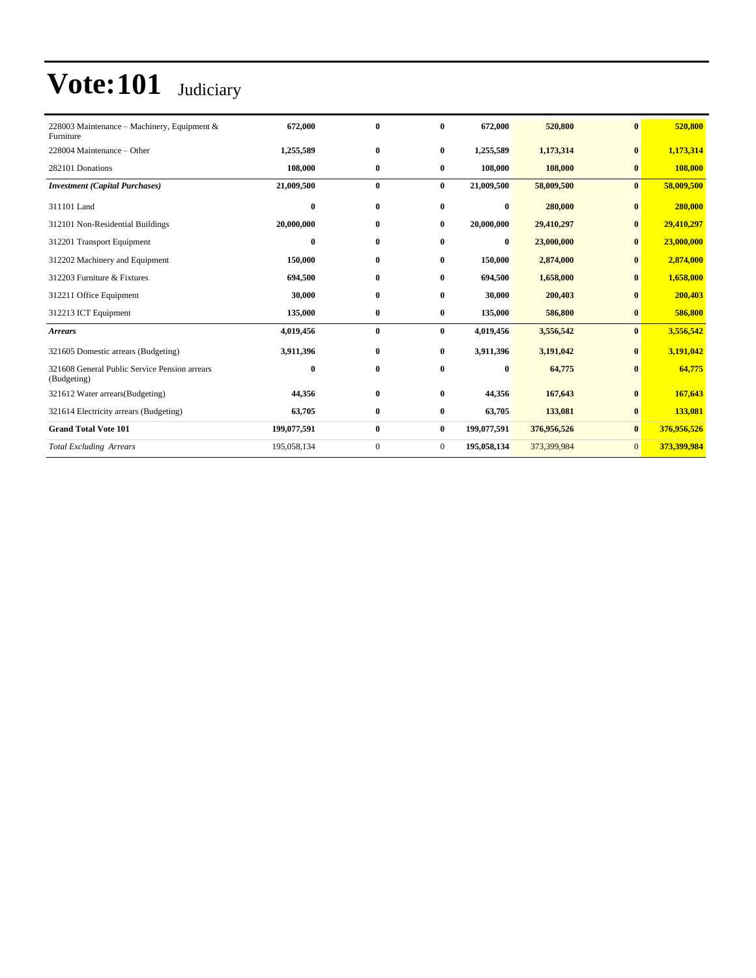| 228003 Maintenance – Machinery, Equipment &<br>Furniture     | 672,000     | $\bf{0}$     | $\mathbf{0}$   | 672,000     | 520,800     | $\mathbf{0}$ | 520,800     |
|--------------------------------------------------------------|-------------|--------------|----------------|-------------|-------------|--------------|-------------|
| 228004 Maintenance – Other                                   | 1,255,589   | $\bf{0}$     | $\bf{0}$       | 1,255,589   | 1,173,314   | $\bf{0}$     | 1,173,314   |
| 282101 Donations                                             | 108,000     | $\bf{0}$     | $\bf{0}$       | 108,000     | 108,000     | $\bf{0}$     | 108,000     |
| <b>Investment</b> (Capital Purchases)                        | 21,009,500  | $\bf{0}$     | $\bf{0}$       | 21,009,500  | 58,009,500  | $\bf{0}$     | 58,009,500  |
| 311101 Land                                                  | $\bf{0}$    | $\bf{0}$     | $\bf{0}$       | $\bf{0}$    | 280,000     | $\bf{0}$     | 280,000     |
| 312101 Non-Residential Buildings                             | 20,000,000  | $\bf{0}$     | $\bf{0}$       | 20,000,000  | 29,410,297  | $\bf{0}$     | 29,410,297  |
| 312201 Transport Equipment                                   | $\bf{0}$    | $\bf{0}$     | $\bf{0}$       | $\bf{0}$    | 23,000,000  | $\bf{0}$     | 23,000,000  |
| 312202 Machinery and Equipment                               | 150,000     | $\bf{0}$     | $\bf{0}$       | 150,000     | 2,874,000   | $\bf{0}$     | 2,874,000   |
| 312203 Furniture & Fixtures                                  | 694,500     | $\bf{0}$     | $\bf{0}$       | 694,500     | 1,658,000   | $\bf{0}$     | 1,658,000   |
| 312211 Office Equipment                                      | 30,000      | $\bf{0}$     | $\bf{0}$       | 30,000      | 200,403     | $\bf{0}$     | 200,403     |
| 312213 ICT Equipment                                         | 135,000     | $\bf{0}$     | $\bf{0}$       | 135,000     | 586,800     | $\bf{0}$     | 586,800     |
| <b>Arrears</b>                                               | 4,019,456   | $\bf{0}$     | $\bf{0}$       | 4,019,456   | 3,556,542   | $\bf{0}$     | 3,556,542   |
| 321605 Domestic arrears (Budgeting)                          | 3,911,396   | $\bf{0}$     | $\bf{0}$       | 3,911,396   | 3,191,042   | $\bf{0}$     | 3,191,042   |
| 321608 General Public Service Pension arrears<br>(Budgeting) | $\bf{0}$    | $\bf{0}$     | $\bf{0}$       | $\bf{0}$    | 64,775      | $\bf{0}$     | 64,775      |
| 321612 Water arrears (Budgeting)                             | 44,356      | $\bf{0}$     | $\mathbf{0}$   | 44,356      | 167,643     | $\mathbf{0}$ | 167,643     |
| 321614 Electricity arrears (Budgeting)                       | 63,705      | $\bf{0}$     | $\bf{0}$       | 63,705      | 133,081     | $\bf{0}$     | 133,081     |
| <b>Grand Total Vote 101</b>                                  | 199,077,591 | $\bf{0}$     | $\bf{0}$       | 199,077,591 | 376,956,526 | $\bf{0}$     | 376,956,526 |
| <b>Total Excluding Arrears</b>                               | 195,058,134 | $\mathbf{0}$ | $\overline{0}$ | 195,058,134 | 373,399,984 | $\mathbf{0}$ | 373,399,984 |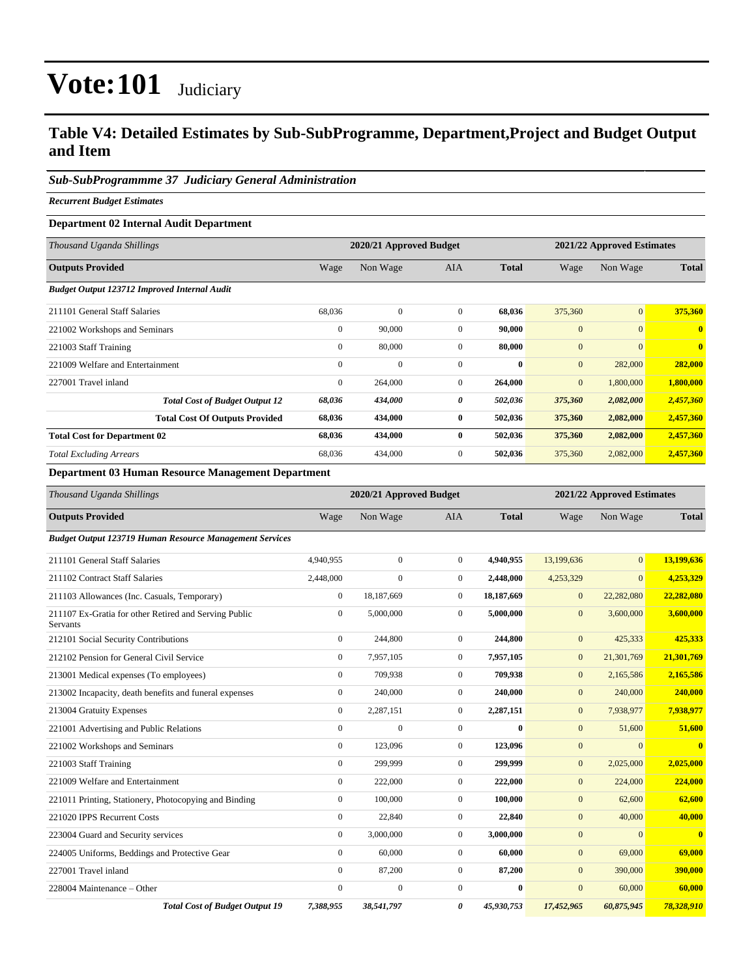### **Table V4: Detailed Estimates by Sub-SubProgramme, Department,Project and Budget Output and Item**

### *Sub-SubProgrammme 37 Judiciary General Administration*

*Recurrent Budget Estimates*

### **Department 02 Internal Audit Department**

| Thousand Uganda Shillings                           | 2020/21 Approved Budget |              |                |              |              | 2021/22 Approved Estimates |              |  |
|-----------------------------------------------------|-------------------------|--------------|----------------|--------------|--------------|----------------------------|--------------|--|
| <b>Outputs Provided</b>                             | Wage                    | Non Wage     | <b>AIA</b>     | <b>Total</b> | Wage         | Non Wage                   | <b>Total</b> |  |
| <b>Budget Output 123712 Improved Internal Audit</b> |                         |              |                |              |              |                            |              |  |
| 211101 General Staff Salaries                       | 68,036                  | $\mathbf{0}$ | $\mathbf{0}$   | 68,036       | 375,360      | $\mathbf{0}$               | 375,360      |  |
| 221002 Workshops and Seminars                       | $\mathbf{0}$            | 90,000       | $\Omega$       | 90,000       | $\mathbf{0}$ | $\overline{0}$             | $\mathbf{0}$ |  |
| 221003 Staff Training                               | $\mathbf{0}$            | 80,000       | $\mathbf{0}$   | 80,000       | $\mathbf{0}$ | $\mathbf{0}$               | $\mathbf{0}$ |  |
| 221009 Welfare and Entertainment                    | $\mathbf{0}$            | $\mathbf{0}$ | $\Omega$       | $\mathbf{0}$ | $\mathbf{0}$ | 282,000                    | 282,000      |  |
| 227001 Travel inland                                | $\mathbf{0}$            | 264,000      | $\overline{0}$ | 264,000      | $\mathbf{0}$ | 1,800,000                  | 1,800,000    |  |
| <b>Total Cost of Budget Output 12</b>               | 68,036                  | 434,000      | 0              | 502,036      | 375,360      | 2,082,000                  | 2,457,360    |  |
| <b>Total Cost Of Outputs Provided</b>               | 68,036                  | 434,000      | $\bf{0}$       | 502,036      | 375,360      | 2,082,000                  | 2,457,360    |  |
| <b>Total Cost for Department 02</b>                 | 68,036                  | 434,000      | $\bf{0}$       | 502,036      | 375,360      | 2,082,000                  | 2,457,360    |  |
| <b>Total Excluding Arrears</b>                      | 68,036                  | 434,000      | $\mathbf{0}$   | 502,036      | 375,360      | 2,082,000                  | 2,457,360    |  |

### **Department 03 Human Resource Management Department**

| Thousand Uganda Shillings                                                |                  |                  | 2020/21 Approved Budget<br>2021/22 Approved Estimates |              |                  |                |              |  |
|--------------------------------------------------------------------------|------------------|------------------|-------------------------------------------------------|--------------|------------------|----------------|--------------|--|
| <b>Outputs Provided</b>                                                  | Wage             | Non Wage         | <b>AIA</b>                                            | <b>Total</b> | Wage             | Non Wage       | <b>Total</b> |  |
| <b>Budget Output 123719 Human Resource Management Services</b>           |                  |                  |                                                       |              |                  |                |              |  |
| 211101 General Staff Salaries                                            | 4,940,955        | $\mathbf{0}$     | $\Omega$                                              | 4,940,955    | 13,199,636       | $\overline{0}$ | 13,199,636   |  |
| 211102 Contract Staff Salaries                                           | 2,448,000        | $\boldsymbol{0}$ | $\mathbf{0}$                                          | 2,448,000    | 4,253,329        | $\overline{0}$ | 4,253,329    |  |
| 211103 Allowances (Inc. Casuals, Temporary)                              | $\boldsymbol{0}$ | 18,187,669       | $\overline{0}$                                        | 18,187,669   | $\boldsymbol{0}$ | 22,282,080     | 22,282,080   |  |
| 211107 Ex-Gratia for other Retired and Serving Public<br><b>Servants</b> | $\mathbf{0}$     | 5,000,000        | $\mathbf{0}$                                          | 5,000,000    | $\overline{0}$   | 3,600,000      | 3,600,000    |  |
| 212101 Social Security Contributions                                     | $\mathbf{0}$     | 244,800          | $\overline{0}$                                        | 244,800      | $\mathbf{0}$     | 425,333        | 425,333      |  |
| 212102 Pension for General Civil Service                                 | $\mathbf{0}$     | 7,957,105        | $\mathbf{0}$                                          | 7,957,105    | $\mathbf{0}$     | 21,301,769     | 21,301,769   |  |
| 213001 Medical expenses (To employees)                                   | $\mathbf{0}$     | 709,938          | $\Omega$                                              | 709,938      | $\mathbf{0}$     | 2,165,586      | 2,165,586    |  |
| 213002 Incapacity, death benefits and funeral expenses                   | $\mathbf{0}$     | 240,000          | $\mathbf{0}$                                          | 240,000      | $\boldsymbol{0}$ | 240,000        | 240,000      |  |
| 213004 Gratuity Expenses                                                 | $\mathbf{0}$     | 2,287,151        | $\mathbf{0}$                                          | 2,287,151    | $\boldsymbol{0}$ | 7,938,977      | 7,938,977    |  |
| 221001 Advertising and Public Relations                                  | $\mathbf{0}$     | $\mathbf{0}$     | $\mathbf{0}$                                          | $\mathbf{0}$ | $\boldsymbol{0}$ | 51,600         | 51,600       |  |
| 221002 Workshops and Seminars                                            | $\mathbf{0}$     | 123,096          | $\boldsymbol{0}$                                      | 123,096      | $\mathbf{0}$     | $\mathbf{0}$   | $\bf{0}$     |  |
| 221003 Staff Training                                                    | $\mathbf{0}$     | 299,999          | $\mathbf{0}$                                          | 299,999      | $\mathbf{0}$     | 2,025,000      | 2,025,000    |  |
| 221009 Welfare and Entertainment                                         | $\mathbf{0}$     | 222,000          | $\mathbf{0}$                                          | 222,000      | $\overline{0}$   | 224,000        | 224,000      |  |
| 221011 Printing, Stationery, Photocopying and Binding                    | $\mathbf{0}$     | 100,000          | $\mathbf{0}$                                          | 100,000      | $\boldsymbol{0}$ | 62,600         | 62,600       |  |
| 221020 IPPS Recurrent Costs                                              | $\mathbf{0}$     | 22,840           | $\mathbf{0}$                                          | 22,840       | $\boldsymbol{0}$ | 40,000         | 40,000       |  |
| 223004 Guard and Security services                                       | $\mathbf{0}$     | 3,000,000        | $\mathbf{0}$                                          | 3,000,000    | $\mathbf{0}$     | $\mathbf{0}$   | $\bf{0}$     |  |
| 224005 Uniforms, Beddings and Protective Gear                            | $\mathbf{0}$     | 60,000           | $\mathbf{0}$                                          | 60,000       | $\boldsymbol{0}$ | 69,000         | 69,000       |  |
| 227001 Travel inland                                                     | $\mathbf{0}$     | 87,200           | $\mathbf{0}$                                          | 87,200       | $\mathbf{0}$     | 390,000        | 390,000      |  |
| 228004 Maintenance - Other                                               | $\mathbf{0}$     | $\mathbf{0}$     | $\mathbf{0}$                                          | $\bf{0}$     | $\overline{0}$   | 60,000         | 60,000       |  |
| <b>Total Cost of Budget Output 19</b>                                    | 7,388,955        | 38,541,797       | 0                                                     | 45,930,753   | 17,452,965       | 60,875,945     | 78,328,910   |  |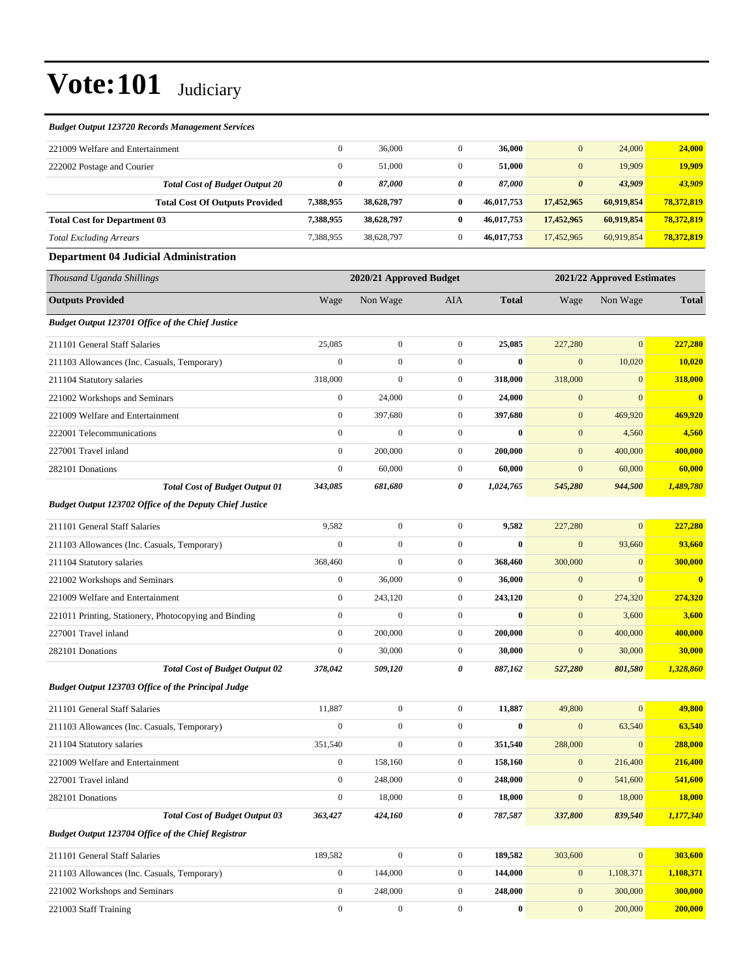#### *Budget Output 123720 Records Management Services*

| 221009 Welfare and Entertainment      |           | 36,000     |          | 36,000     | $\overline{0}$        | 24,000     | 24,000     |
|---------------------------------------|-----------|------------|----------|------------|-----------------------|------------|------------|
| 222002 Postage and Courier            |           | 51,000     |          | 51,000     | $\overline{0}$        | 19.909     | 19.909     |
| <b>Total Cost of Budget Output 20</b> | 0         | 87,000     | 0        | 87.000     | $\boldsymbol{\theta}$ | 43,909     | 43,909     |
| <b>Total Cost Of Outputs Provided</b> | 7.388.955 | 38,628,797 | 0        | 46,017,753 | 17,452,965            | 60.919.854 | 78,372,819 |
| <b>Total Cost for Department 03</b>   | 7.388.955 | 38,628,797 | $\bf{0}$ | 46.017.753 | 17,452,965            | 60.919.854 | 78.372.819 |
| <b>Total Excluding Arrears</b>        | 7,388,955 | 38,628,797 | $\Omega$ | 46.017.753 | 17,452,965            | 60.919.854 | 78,372,819 |
| $\sim$                                |           |            |          |            |                       |            |            |

#### **Department 04 Judicial Administration**

| Thousand Uganda Shillings                                 |                  | 2020/21 Approved Budget |                  |              |                  | 2021/22 Approved Estimates |                         |
|-----------------------------------------------------------|------------------|-------------------------|------------------|--------------|------------------|----------------------------|-------------------------|
| <b>Outputs Provided</b>                                   | Wage             | Non Wage                | AIA              | <b>Total</b> | Wage             | Non Wage                   | <b>Total</b>            |
| <b>Budget Output 123701 Office of the Chief Justice</b>   |                  |                         |                  |              |                  |                            |                         |
| 211101 General Staff Salaries                             | 25,085           | $\mathbf{0}$            | $\mathbf{0}$     | 25,085       | 227,280          | $\overline{0}$             | 227,280                 |
| 211103 Allowances (Inc. Casuals, Temporary)               | $\boldsymbol{0}$ | $\boldsymbol{0}$        | $\mathbf{0}$     | $\bf{0}$     | $\mathbf{0}$     | 10,020                     | 10,020                  |
| 211104 Statutory salaries                                 | 318,000          | $\overline{0}$          | $\overline{0}$   | 318,000      | 318,000          | $\mathbf{0}$               | 318,000                 |
| 221002 Workshops and Seminars                             | $\boldsymbol{0}$ | 24,000                  | $\boldsymbol{0}$ | 24,000       | $\mathbf{0}$     | $\overline{0}$             | $\overline{\mathbf{0}}$ |
| 221009 Welfare and Entertainment                          | $\boldsymbol{0}$ | 397,680                 | $\boldsymbol{0}$ | 397,680      | $\mathbf{0}$     | 469,920                    | 469,920                 |
| 222001 Telecommunications                                 | $\mathbf{0}$     | $\mathbf{0}$            | $\boldsymbol{0}$ | $\bf{0}$     | $\mathbf{0}$     | 4,560                      | 4,560                   |
| 227001 Travel inland                                      | $\boldsymbol{0}$ | 200,000                 | $\boldsymbol{0}$ | 200,000      | $\mathbf{0}$     | 400,000                    | 400,000                 |
| 282101 Donations                                          | $\boldsymbol{0}$ | 60,000                  | $\boldsymbol{0}$ | 60,000       | $\mathbf{0}$     | 60,000                     | 60,000                  |
| <b>Total Cost of Budget Output 01</b>                     | 343,085          | 681,680                 | 0                | 1,024,765    | 545,280          | 944,500                    | 1,489,780               |
| Budget Output 123702 Office of the Deputy Chief Justice   |                  |                         |                  |              |                  |                            |                         |
| 211101 General Staff Salaries                             | 9,582            | $\boldsymbol{0}$        | $\overline{0}$   | 9,582        | 227,280          | $\mathbf{0}$               | 227,280                 |
| 211103 Allowances (Inc. Casuals, Temporary)               | $\mathbf{0}$     | $\mathbf{0}$            | $\boldsymbol{0}$ | $\bf{0}$     | $\mathbf{0}$     | 93,660                     | 93,660                  |
| 211104 Statutory salaries                                 | 368,460          | $\boldsymbol{0}$        | $\boldsymbol{0}$ | 368,460      | 300,000          | $\mathbf{0}$               | 300,000                 |
| 221002 Workshops and Seminars                             | $\mathbf{0}$     | 36,000                  | $\boldsymbol{0}$ | 36,000       | $\mathbf{0}$     | $\mathbf{0}$               | $\overline{\mathbf{0}}$ |
| 221009 Welfare and Entertainment                          | $\boldsymbol{0}$ | 243,120                 | $\mathbf{0}$     | 243,120      | $\mathbf{0}$     | 274,320                    | 274,320                 |
| 221011 Printing, Stationery, Photocopying and Binding     | $\boldsymbol{0}$ | $\mathbf{0}$            | $\mathbf{0}$     | $\bf{0}$     | $\mathbf{0}$     | 3,600                      | 3,600                   |
| 227001 Travel inland                                      | $\mathbf{0}$     | 200,000                 | $\mathbf{0}$     | 200,000      | $\mathbf{0}$     | 400,000                    | 400,000                 |
| 282101 Donations                                          | $\boldsymbol{0}$ | 30,000                  | $\mathbf{0}$     | 30,000       | $\mathbf{0}$     | 30,000                     | 30,000                  |
| <b>Total Cost of Budget Output 02</b>                     | 378,042          | 509,120                 | 0                | 887,162      | 527,280          | 801,580                    | 1,328,860               |
| <b>Budget Output 123703 Office of the Principal Judge</b> |                  |                         |                  |              |                  |                            |                         |
| 211101 General Staff Salaries                             | 11,887           | $\boldsymbol{0}$        | $\mathbf{0}$     | 11,887       | 49,800           | $\mathbf{0}$               | 49,800                  |
| 211103 Allowances (Inc. Casuals, Temporary)               | $\boldsymbol{0}$ | $\boldsymbol{0}$        | $\mathbf{0}$     | $\bf{0}$     | $\mathbf{0}$     | 63,540                     | 63,540                  |
| 211104 Statutory salaries                                 | 351,540          | $\mathbf{0}$            | $\boldsymbol{0}$ | 351,540      | 288,000          | $\mathbf{0}$               | 288,000                 |
| 221009 Welfare and Entertainment                          | $\boldsymbol{0}$ | 158,160                 | $\boldsymbol{0}$ | 158,160      | $\mathbf{0}$     | 216,400                    | 216,400                 |
| 227001 Travel inland                                      | $\boldsymbol{0}$ | 248,000                 | $\boldsymbol{0}$ | 248,000      | $\mathbf{0}$     | 541,600                    | 541,600                 |
| 282101 Donations                                          | $\boldsymbol{0}$ | 18,000                  | $\boldsymbol{0}$ | 18,000       | $\overline{0}$   | 18,000                     | <b>18,000</b>           |
| <b>Total Cost of Budget Output 03</b>                     | 363,427          | 424,160                 | 0                | 787,587      | 337,800          | 839,540                    | 1,177,340               |
| <b>Budget Output 123704 Office of the Chief Registrar</b> |                  |                         |                  |              |                  |                            |                         |
| 211101 General Staff Salaries                             | 189,582          | $\boldsymbol{0}$        | $\overline{0}$   | 189,582      | 303,600          | $\boldsymbol{0}$           | 303,600                 |
| 211103 Allowances (Inc. Casuals, Temporary)               | $\boldsymbol{0}$ | 144,000                 | $\boldsymbol{0}$ | 144,000      | $\boldsymbol{0}$ | 1,108,371                  | 1,108,371               |
| 221002 Workshops and Seminars                             | $\boldsymbol{0}$ | 248,000                 | $\mathbf{0}$     | 248,000      | $\mathbf{0}$     | 300,000                    | 300,000                 |

221003 Staff Training 0 0 0 **0** 0 200,000 **200,000**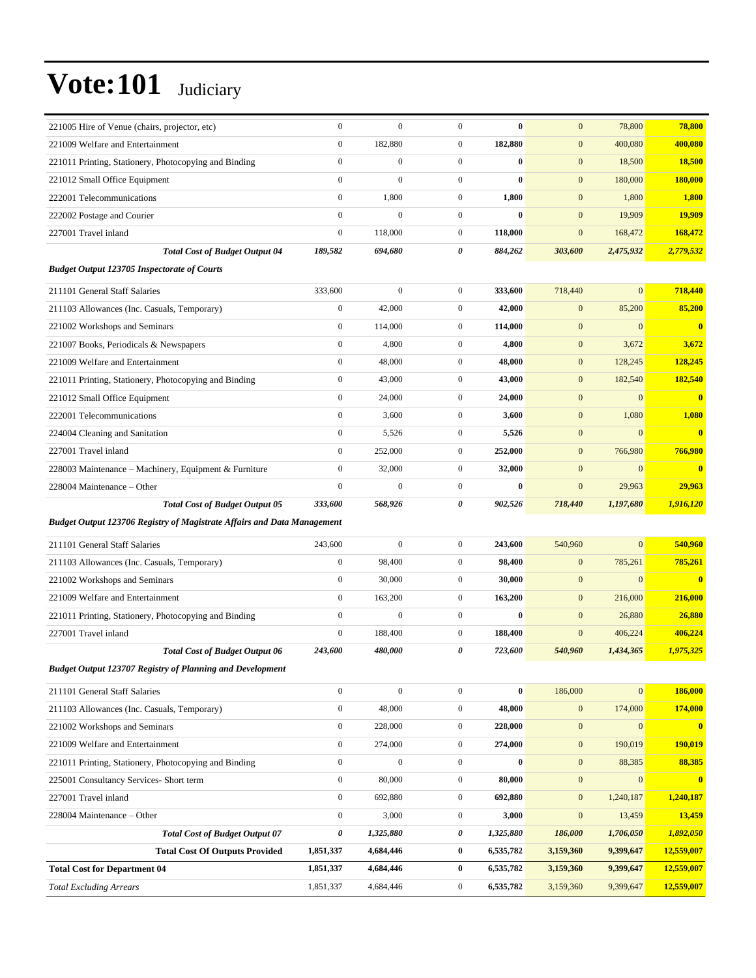| 221005 Hire of Venue (chairs, projector, etc)                                  | $\boldsymbol{0}$ | $\boldsymbol{0}$ | $\boldsymbol{0}$ | $\bf{0}$  | $\mathbf{0}$     | 78,800           | 78,800                  |
|--------------------------------------------------------------------------------|------------------|------------------|------------------|-----------|------------------|------------------|-------------------------|
| 221009 Welfare and Entertainment                                               | $\mathbf{0}$     | 182,880          | $\boldsymbol{0}$ | 182,880   | $\mathbf{0}$     | 400,080          | 400,080                 |
| 221011 Printing, Stationery, Photocopying and Binding                          | $\boldsymbol{0}$ | $\boldsymbol{0}$ | $\boldsymbol{0}$ | $\bf{0}$  | $\mathbf{0}$     | 18,500           | 18,500                  |
| 221012 Small Office Equipment                                                  | $\mathbf{0}$     | $\mathbf{0}$     | $\mathbf{0}$     | $\bf{0}$  | $\mathbf{0}$     | 180,000          | 180,000                 |
| 222001 Telecommunications                                                      | $\boldsymbol{0}$ | 1,800            | $\mathbf{0}$     | 1,800     | $\mathbf{0}$     | 1,800            | 1,800                   |
| 222002 Postage and Courier                                                     | $\mathbf{0}$     | $\boldsymbol{0}$ | $\boldsymbol{0}$ | $\bf{0}$  | $\mathbf{0}$     | 19,909           | 19,909                  |
| 227001 Travel inland                                                           | $\mathbf{0}$     | 118,000          | $\boldsymbol{0}$ | 118,000   | $\mathbf{0}$     | 168,472          | 168,472                 |
| <b>Total Cost of Budget Output 04</b>                                          | 189,582          | 694,680          | 0                | 884,262   | 303,600          | 2,475,932        | 2,779,532               |
| <b>Budget Output 123705 Inspectorate of Courts</b>                             |                  |                  |                  |           |                  |                  |                         |
| 211101 General Staff Salaries                                                  | 333,600          | $\boldsymbol{0}$ | $\boldsymbol{0}$ | 333,600   | 718,440          | $\overline{0}$   | 718,440                 |
| 211103 Allowances (Inc. Casuals, Temporary)                                    | $\mathbf{0}$     | 42,000           | $\mathbf{0}$     | 42,000    | $\mathbf{0}$     | 85,200           | 85,200                  |
| 221002 Workshops and Seminars                                                  | $\boldsymbol{0}$ | 114,000          | $\mathbf{0}$     | 114,000   | $\mathbf{0}$     | $\overline{0}$   | $\overline{\mathbf{0}}$ |
| 221007 Books, Periodicals & Newspapers                                         | $\mathbf{0}$     | 4,800            | $\boldsymbol{0}$ | 4,800     | $\mathbf{0}$     | 3,672            | 3,672                   |
| 221009 Welfare and Entertainment                                               | $\boldsymbol{0}$ | 48,000           | $\mathbf{0}$     | 48,000    | $\mathbf{0}$     | 128,245          | 128,245                 |
| 221011 Printing, Stationery, Photocopying and Binding                          | $\boldsymbol{0}$ | 43,000           | $\boldsymbol{0}$ | 43,000    | $\mathbf{0}$     | 182,540          | 182,540                 |
| 221012 Small Office Equipment                                                  | $\mathbf{0}$     | 24,000           | $\mathbf{0}$     | 24,000    | $\mathbf{0}$     | $\overline{0}$   | $\bf{0}$                |
| 222001 Telecommunications                                                      | $\mathbf{0}$     | 3,600            | $\boldsymbol{0}$ | 3,600     | $\mathbf{0}$     | 1,080            | 1,080                   |
| 224004 Cleaning and Sanitation                                                 | $\mathbf{0}$     | 5,526            | $\boldsymbol{0}$ | 5,526     | $\mathbf{0}$     | $\mathbf{0}$     | $\bf{0}$                |
| 227001 Travel inland                                                           | $\boldsymbol{0}$ | 252,000          | $\mathbf{0}$     | 252,000   | $\mathbf{0}$     | 766,980          | 766,980                 |
| 228003 Maintenance – Machinery, Equipment & Furniture                          | $\boldsymbol{0}$ | 32,000           | $\boldsymbol{0}$ | 32,000    | $\mathbf{0}$     | $\mathbf{0}$     | $\overline{\mathbf{0}}$ |
| 228004 Maintenance – Other                                                     | $\mathbf{0}$     | $\mathbf{0}$     | $\overline{0}$   | $\bf{0}$  | $\mathbf{0}$     | 29,963           | 29,963                  |
|                                                                                |                  |                  |                  |           |                  |                  |                         |
| <b>Total Cost of Budget Output 05</b>                                          | 333,600          | 568,926          | 0                | 902,526   | 718,440          | 1,197,680        | 1,916,120               |
|                                                                                |                  |                  |                  |           |                  |                  |                         |
| <b>Budget Output 123706 Registry of Magistrate Affairs and Data Management</b> |                  |                  |                  |           |                  |                  |                         |
| 211101 General Staff Salaries                                                  | 243,600          | $\mathbf{0}$     | $\boldsymbol{0}$ | 243,600   | 540,960          | $\overline{0}$   | 540,960                 |
| 211103 Allowances (Inc. Casuals, Temporary)                                    | $\boldsymbol{0}$ | 98,400           | $\boldsymbol{0}$ | 98,400    | $\mathbf{0}$     | 785,261          | 785,261                 |
| 221002 Workshops and Seminars                                                  | $\boldsymbol{0}$ | 30,000           | $\mathbf{0}$     | 30,000    | $\mathbf{0}$     | $\mathbf{0}$     | $\overline{\mathbf{0}}$ |
| 221009 Welfare and Entertainment                                               | $\boldsymbol{0}$ | 163,200          | $\mathbf{0}$     | 163,200   | $\mathbf{0}$     | 216,000          | 216,000                 |
| 221011 Printing, Stationery, Photocopying and Binding                          | $\boldsymbol{0}$ | $\boldsymbol{0}$ | $\boldsymbol{0}$ | $\bf{0}$  | $\mathbf{0}$     | 26,880           | 26,880                  |
| 227001 Travel inland                                                           | $\mathbf{0}$     | 188,400          | $\boldsymbol{0}$ | 188,400   | $\mathbf{0}$     | 406,224          | 406,224                 |
| <b>Total Cost of Budget Output 06</b>                                          | 243,600          | 480,000          | 0                | 723,600   | 540,960          | 1,434,365        | 1,975,325               |
| <b>Budget Output 123707 Registry of Planning and Development</b>               |                  |                  |                  |           |                  |                  |                         |
| 211101 General Staff Salaries                                                  | $\boldsymbol{0}$ | $\boldsymbol{0}$ | $\boldsymbol{0}$ | $\bf{0}$  | 186,000          | $\boldsymbol{0}$ | 186,000                 |
| 211103 Allowances (Inc. Casuals, Temporary)                                    | $\boldsymbol{0}$ | 48,000           | $\boldsymbol{0}$ | 48,000    | $\boldsymbol{0}$ | 174,000          | 174,000                 |
| 221002 Workshops and Seminars                                                  | $\boldsymbol{0}$ | 228,000          | $\boldsymbol{0}$ | 228,000   | $\boldsymbol{0}$ | $\boldsymbol{0}$ | $\overline{\mathbf{0}}$ |
| 221009 Welfare and Entertainment                                               | $\boldsymbol{0}$ | 274,000          | $\boldsymbol{0}$ | 274,000   | $\boldsymbol{0}$ | 190,019          | 190,019                 |
| 221011 Printing, Stationery, Photocopying and Binding                          | $\boldsymbol{0}$ | $\boldsymbol{0}$ | $\mathbf{0}$     | $\bf{0}$  | $\boldsymbol{0}$ | 88,385           | 88,385                  |
| 225001 Consultancy Services- Short term                                        | $\boldsymbol{0}$ | 80,000           | $\boldsymbol{0}$ | 80,000    | $\boldsymbol{0}$ | $\boldsymbol{0}$ | $\overline{\mathbf{0}}$ |
| 227001 Travel inland                                                           | $\boldsymbol{0}$ | 692,880          | $\boldsymbol{0}$ | 692,880   | $\boldsymbol{0}$ | 1,240,187        | 1,240,187               |
| 228004 Maintenance - Other                                                     | $\boldsymbol{0}$ | 3,000            | $\boldsymbol{0}$ | 3,000     | $\boldsymbol{0}$ | 13,459           | 13,459                  |
| <b>Total Cost of Budget Output 07</b>                                          | $\pmb{\theta}$   | 1,325,880        | $\pmb{\theta}$   | 1,325,880 | 186,000          | 1,706,050        | 1,892,050               |
| <b>Total Cost Of Outputs Provided</b>                                          | 1,851,337        | 4,684,446        | $\bf{0}$         | 6,535,782 | 3,159,360        | 9,399,647        | 12,559,007              |
| <b>Total Cost for Department 04</b>                                            | 1,851,337        | 4,684,446        | $\bf{0}$         | 6,535,782 | 3,159,360        | 9,399,647        | 12,559,007              |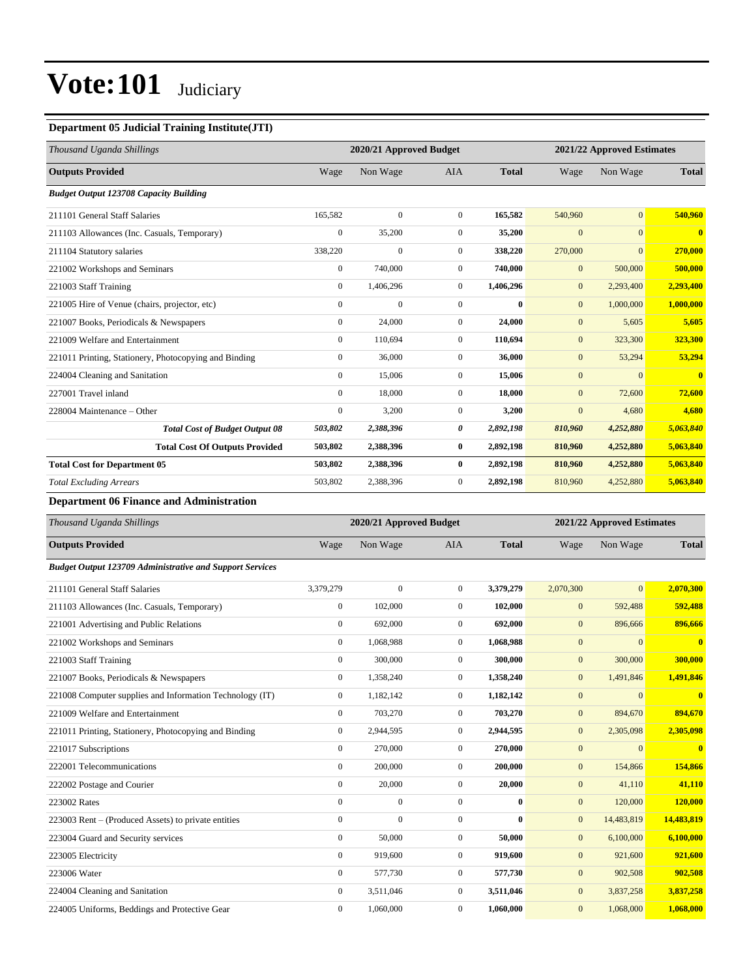### **Department 05 Judicial Training Institute(JTI)**

| Thousand Uganda Shillings                             |                | 2020/21 Approved Budget |                |              | 2021/22 Approved Estimates |                 |                |
|-------------------------------------------------------|----------------|-------------------------|----------------|--------------|----------------------------|-----------------|----------------|
| <b>Outputs Provided</b>                               | Wage           | Non Wage                | <b>AIA</b>     | <b>Total</b> | Wage                       | Non Wage        | <b>Total</b>   |
| <b>Budget Output 123708 Capacity Building</b>         |                |                         |                |              |                            |                 |                |
| 211101 General Staff Salaries                         | 165,582        | $\mathbf{0}$            | $\overline{0}$ | 165,582      | 540,960                    | $\vert 0 \vert$ | 540,960        |
| 211103 Allowances (Inc. Casuals, Temporary)           | $\mathbf{0}$   | 35,200                  | $\overline{0}$ | 35,200       | $\mathbf{0}$               | $\overline{0}$  | $\bf{0}$       |
| 211104 Statutory salaries                             | 338,220        | $\mathbf{0}$            | $\overline{0}$ | 338,220      | 270,000                    | $\overline{0}$  | 270,000        |
| 221002 Workshops and Seminars                         | $\mathbf{0}$   | 740,000                 | $\overline{0}$ | 740,000      | $\mathbf{0}$               | 500,000         | 500,000        |
| 221003 Staff Training                                 | $\overline{0}$ | 1,406,296               | $\overline{0}$ | 1,406,296    | $\mathbf{0}$               | 2,293,400       | 2,293,400      |
| 221005 Hire of Venue (chairs, projector, etc)         | $\mathbf{0}$   | $\mathbf{0}$            | $\Omega$       | $\mathbf{0}$ | $\mathbf{0}$               | 1,000,000       | 1,000,000      |
| 221007 Books, Periodicals & Newspapers                | $\mathbf{0}$   | 24,000                  | $\overline{0}$ | 24,000       | $\mathbf{0}$               | 5,605           | 5,605          |
| 221009 Welfare and Entertainment                      | $\mathbf{0}$   | 110.694                 | $\overline{0}$ | 110.694      | $\mathbf{0}$               | 323,300         | 323,300        |
| 221011 Printing, Stationery, Photocopying and Binding | $\overline{0}$ | 36,000                  | $\mathbf{0}$   | 36,000       | $\mathbf{0}$               | 53,294          | 53,294         |
| 224004 Cleaning and Sanitation                        | $\overline{0}$ | 15,006                  | $\mathbf{0}$   | 15,006       | $\mathbf{0}$               | $\mathbf{0}$    | $\overline{0}$ |
| 227001 Travel inland                                  | $\mathbf{0}$   | 18,000                  | $\overline{0}$ | 18,000       | $\mathbf{0}$               | 72,600          | 72,600         |
| 228004 Maintenance - Other                            | $\mathbf{0}$   | 3,200                   | $\overline{0}$ | 3,200        | $\mathbf{0}$               | 4,680           | 4,680          |
| <b>Total Cost of Budget Output 08</b>                 | 503,802        | 2,388,396               | 0              | 2,892,198    | 810,960                    | 4,252,880       | 5,063,840      |
| <b>Total Cost Of Outputs Provided</b>                 | 503,802        | 2,388,396               | $\bf{0}$       | 2,892,198    | 810,960                    | 4,252,880       | 5,063,840      |
| <b>Total Cost for Department 05</b>                   | 503,802        | 2,388,396               | $\bf{0}$       | 2,892,198    | 810,960                    | 4,252,880       | 5,063,840      |
| <b>Total Excluding Arrears</b>                        | 503,802        | 2,388,396               | $\mathbf{0}$   | 2,892,198    | 810,960                    | 4,252,880       | 5,063,840      |

### **Department 06 Finance and Administration**

| Thousand Uganda Shillings                                       |                  | 2020/21 Approved Budget |                |              |                | 2021/22 Approved Estimates |                         |
|-----------------------------------------------------------------|------------------|-------------------------|----------------|--------------|----------------|----------------------------|-------------------------|
| <b>Outputs Provided</b>                                         | Wage             | Non Wage                | <b>AIA</b>     | <b>Total</b> | Wage           | Non Wage                   | <b>Total</b>            |
| <b>Budget Output 123709 Administrative and Support Services</b> |                  |                         |                |              |                |                            |                         |
| 211101 General Staff Salaries                                   | 3,379,279        | $\Omega$                | $\overline{0}$ | 3,379,279    | 2,070,300      | $\overline{0}$             | 2.070.300               |
| 211103 Allowances (Inc. Casuals, Temporary)                     | $\mathbf{0}$     | 102,000                 | $\Omega$       | 102,000      | $\mathbf{0}$   | 592,488                    | 592,488                 |
| 221001 Advertising and Public Relations                         | $\boldsymbol{0}$ | 692,000                 | $\overline{0}$ | 692,000      | $\mathbf{0}$   | 896,666                    | 896,666                 |
| 221002 Workshops and Seminars                                   | $\mathbf{0}$     | 1,068,988               | $\overline{0}$ | 1,068,988    | $\mathbf{0}$   | $\mathbf{0}$               | $\overline{\mathbf{0}}$ |
| 221003 Staff Training                                           | $\mathbf{0}$     | 300,000                 | $\overline{0}$ | 300,000      | $\mathbf{0}$   | 300,000                    | 300,000                 |
| 221007 Books, Periodicals & Newspapers                          | $\mathbf{0}$     | 1,358,240               | $\overline{0}$ | 1,358,240    | $\mathbf{0}$   | 1,491,846                  | 1,491,846               |
| 221008 Computer supplies and Information Technology (IT)        | $\overline{0}$   | 1,182,142               | $\overline{0}$ | 1,182,142    | $\mathbf{0}$   | $\mathbf{0}$               | $\mathbf{0}$            |
| 221009 Welfare and Entertainment                                | $\mathbf{0}$     | 703,270                 | $\overline{0}$ | 703,270      | $\mathbf{0}$   | 894,670                    | 894,670                 |
| 221011 Printing, Stationery, Photocopying and Binding           | $\boldsymbol{0}$ | 2,944,595               | $\overline{0}$ | 2,944,595    | $\mathbf{0}$   | 2,305,098                  | 2,305,098               |
| 221017 Subscriptions                                            | $\mathbf{0}$     | 270,000                 | $\overline{0}$ | 270,000      | $\mathbf{0}$   | $\mathbf{0}$               | $\mathbf{0}$            |
| 222001 Telecommunications                                       | $\mathbf{0}$     | 200,000                 | $\overline{0}$ | 200,000      | $\mathbf{0}$   | 154,866                    | 154,866                 |
| 222002 Postage and Courier                                      | $\mathbf{0}$     | 20,000                  | $\overline{0}$ | 20,000       | $\mathbf{0}$   | 41,110                     | 41,110                  |
| 223002 Rates                                                    | $\mathbf{0}$     | $\Omega$                | $\Omega$       | $\mathbf{0}$ | $\mathbf{0}$   | 120,000                    | 120,000                 |
| 223003 Rent – (Produced Assets) to private entities             | $\mathbf{0}$     | $\Omega$                | $\Omega$       | $\bf{0}$     | $\mathbf{0}$   | 14,483,819                 | 14,483,819              |
| 223004 Guard and Security services                              | $\mathbf{0}$     | 50,000                  | $\overline{0}$ | 50,000       | $\mathbf{0}$   | 6,100,000                  | 6,100,000               |
| 223005 Electricity                                              | $\mathbf{0}$     | 919,600                 | $\overline{0}$ | 919,600      | $\overline{0}$ | 921,600                    | 921,600                 |
| 223006 Water                                                    | $\mathbf{0}$     | 577,730                 | $\overline{0}$ | 577,730      | $\mathbf{0}$   | 902,508                    | 902,508                 |
| 224004 Cleaning and Sanitation                                  | $\mathbf{0}$     | 3,511,046               | $\overline{0}$ | 3,511,046    | $\mathbf{0}$   | 3,837,258                  | 3,837,258               |
| 224005 Uniforms, Beddings and Protective Gear                   | $\overline{0}$   | 1,060,000               | $\overline{0}$ | 1,060,000    | $\mathbf{0}$   | 1,068,000                  | 1,068,000               |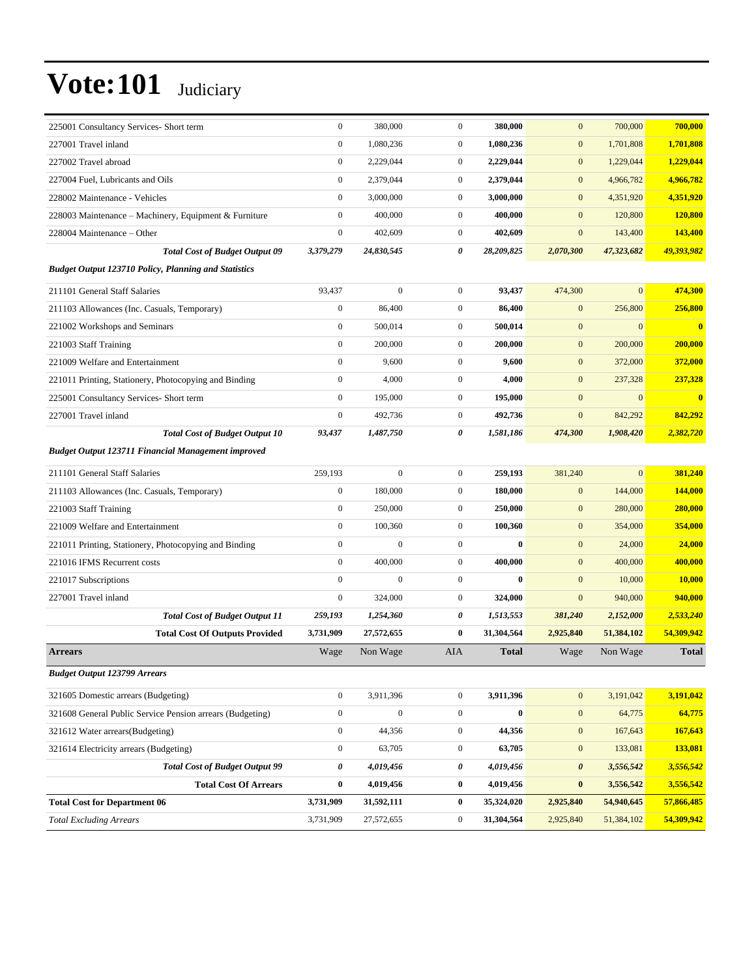| 225001 Consultancy Services- Short term                     | $\boldsymbol{0}$ | 380,000          | $\mathbf{0}$     | 380,000      | $\mathbf{0}$          | 700,000      | 700,000      |
|-------------------------------------------------------------|------------------|------------------|------------------|--------------|-----------------------|--------------|--------------|
| 227001 Travel inland                                        | $\boldsymbol{0}$ | 1,080,236        | $\mathbf{0}$     | 1,080,236    | $\mathbf{0}$          | 1,701,808    | 1,701,808    |
| 227002 Travel abroad                                        | $\boldsymbol{0}$ | 2,229,044        | $\mathbf{0}$     | 2,229,044    | $\mathbf{0}$          | 1,229,044    | 1,229,044    |
| 227004 Fuel, Lubricants and Oils                            | $\boldsymbol{0}$ | 2,379,044        | $\mathbf{0}$     | 2,379,044    | $\mathbf{0}$          | 4,966,782    | 4,966,782    |
| 228002 Maintenance - Vehicles                               | $\overline{0}$   | 3,000,000        | $\mathbf{0}$     | 3,000,000    | $\mathbf{0}$          | 4,351,920    | 4,351,920    |
| 228003 Maintenance – Machinery, Equipment & Furniture       | $\boldsymbol{0}$ | 400,000          | $\mathbf{0}$     | 400,000      | $\mathbf{0}$          | 120,800      | 120,800      |
| 228004 Maintenance – Other                                  | $\boldsymbol{0}$ | 402,609          | $\mathbf{0}$     | 402,609      | $\mathbf{0}$          | 143,400      | 143,400      |
| <b>Total Cost of Budget Output 09</b>                       | 3,379,279        | 24,830,545       | 0                | 28,209,825   | 2,070,300             | 47,323,682   | 49,393,982   |
| <b>Budget Output 123710 Policy, Planning and Statistics</b> |                  |                  |                  |              |                       |              |              |
| 211101 General Staff Salaries                               | 93,437           | $\boldsymbol{0}$ | $\mathbf{0}$     | 93,437       | 474,300               | $\mathbf{0}$ | 474,300      |
| 211103 Allowances (Inc. Casuals, Temporary)                 | $\boldsymbol{0}$ | 86,400           | $\mathbf{0}$     | 86,400       | $\mathbf{0}$          | 256,800      | 256,800      |
| 221002 Workshops and Seminars                               | $\boldsymbol{0}$ | 500,014          | $\mathbf{0}$     | 500,014      | $\mathbf{0}$          | $\mathbf{0}$ | $\mathbf{0}$ |
| 221003 Staff Training                                       | $\boldsymbol{0}$ | 200,000          | $\mathbf{0}$     | 200,000      | $\mathbf{0}$          | 200,000      | 200,000      |
| 221009 Welfare and Entertainment                            | $\boldsymbol{0}$ | 9,600            | $\boldsymbol{0}$ | 9,600        | $\mathbf{0}$          | 372,000      | 372,000      |
| 221011 Printing, Stationery, Photocopying and Binding       | $\boldsymbol{0}$ | 4,000            | $\mathbf{0}$     | 4,000        | $\mathbf{0}$          | 237,328      | 237,328      |
| 225001 Consultancy Services- Short term                     | $\mathbf{0}$     | 195,000          | $\mathbf{0}$     | 195,000      | $\mathbf{0}$          | $\mathbf{0}$ |              |
| 227001 Travel inland                                        | $\boldsymbol{0}$ | 492,736          | $\mathbf{0}$     | 492,736      | $\mathbf{0}$          | 842,292      | 842,292      |
| <b>Total Cost of Budget Output 10</b>                       | 93,437           | 1,487,750        | 0                | 1,581,186    | 474,300               | 1,908,420    | 2,382,720    |
| <b>Budget Output 123711 Financial Management improved</b>   |                  |                  |                  |              |                       |              |              |
| 211101 General Staff Salaries                               | 259,193          | $\boldsymbol{0}$ | $\mathbf{0}$     | 259,193      | 381,240               | $\mathbf{0}$ | 381,240      |
| 211103 Allowances (Inc. Casuals, Temporary)                 | $\boldsymbol{0}$ | 180,000          | $\mathbf{0}$     | 180,000      | $\mathbf{0}$          | 144,000      | 144,000      |
| 221003 Staff Training                                       | $\boldsymbol{0}$ | 250,000          | $\mathbf{0}$     | 250,000      | $\mathbf{0}$          | 280,000      | 280,000      |
| 221009 Welfare and Entertainment                            | $\boldsymbol{0}$ | 100,360          | $\mathbf{0}$     | 100,360      | $\mathbf{0}$          | 354,000      | 354,000      |
| 221011 Printing, Stationery, Photocopying and Binding       | $\mathbf{0}$     | $\mathbf{0}$     | $\mathbf{0}$     | $\bf{0}$     | $\mathbf{0}$          | 24,000       | 24,000       |
| 221016 IFMS Recurrent costs                                 | $\boldsymbol{0}$ | 400,000          | $\mathbf{0}$     | 400,000      | $\mathbf{0}$          | 400,000      | 400,000      |
| 221017 Subscriptions                                        | $\mathbf{0}$     | $\boldsymbol{0}$ | $\mathbf{0}$     | $\bf{0}$     | $\mathbf{0}$          | 10,000       | 10,000       |
| 227001 Travel inland                                        | $\boldsymbol{0}$ | 324,000          | $\mathbf{0}$     | 324,000      | $\mathbf{0}$          | 940,000      | 940,000      |
| <b>Total Cost of Budget Output 11</b>                       | 259,193          | 1,254,360        | 0                | 1,513,553    | 381,240               | 2,152,000    | 2,533,240    |
| <b>Total Cost Of Outputs Provided</b>                       | 3,731,909        | 27,572,655       | $\bf{0}$         | 31,304,564   | 2,925,840             | 51,384,102   | 54,309,942   |
| <b>Arrears</b>                                              | Wage             | Non Wage         | AIA              | <b>Total</b> | Wage                  | Non Wage     | <b>Total</b> |
| <b>Budget Output 123799 Arrears</b>                         |                  |                  |                  |              |                       |              |              |
| 321605 Domestic arrears (Budgeting)                         | $\boldsymbol{0}$ | 3,911,396        | $\mathbf{0}$     | 3,911,396    | $\mathbf{0}$          | 3,191,042    | 3,191,042    |
| 321608 General Public Service Pension arrears (Budgeting)   | $\boldsymbol{0}$ | $\boldsymbol{0}$ | $\boldsymbol{0}$ | $\pmb{0}$    | $\boldsymbol{0}$      | 64,775       | 64,775       |
| 321612 Water arrears(Budgeting)                             | $\boldsymbol{0}$ | 44,356           | $\mathbf{0}$     | 44,356       | $\boldsymbol{0}$      | 167,643      | 167,643      |
| 321614 Electricity arrears (Budgeting)                      | $\boldsymbol{0}$ | 63,705           | $\boldsymbol{0}$ | 63,705       | $\mathbf{0}$          | 133,081      | 133,081      |
| <b>Total Cost of Budget Output 99</b>                       | 0                | 4,019,456        | $\pmb{\theta}$   | 4,019,456    | $\boldsymbol{\theta}$ | 3,556,542    | 3,556,542    |
| <b>Total Cost Of Arrears</b>                                | $\pmb{0}$        | 4,019,456        | $\bf{0}$         | 4,019,456    | $\bf{0}$              | 3,556,542    | 3,556,542    |
| <b>Total Cost for Department 06</b>                         | 3,731,909        | 31,592,111       | $\bf{0}$         | 35,324,020   | 2,925,840             | 54,940,645   | 57,866,485   |
| <b>Total Excluding Arrears</b>                              | 3,731,909        | 27,572,655       | $\boldsymbol{0}$ | 31,304,564   | 2,925,840             | 51,384,102   | 54,309,942   |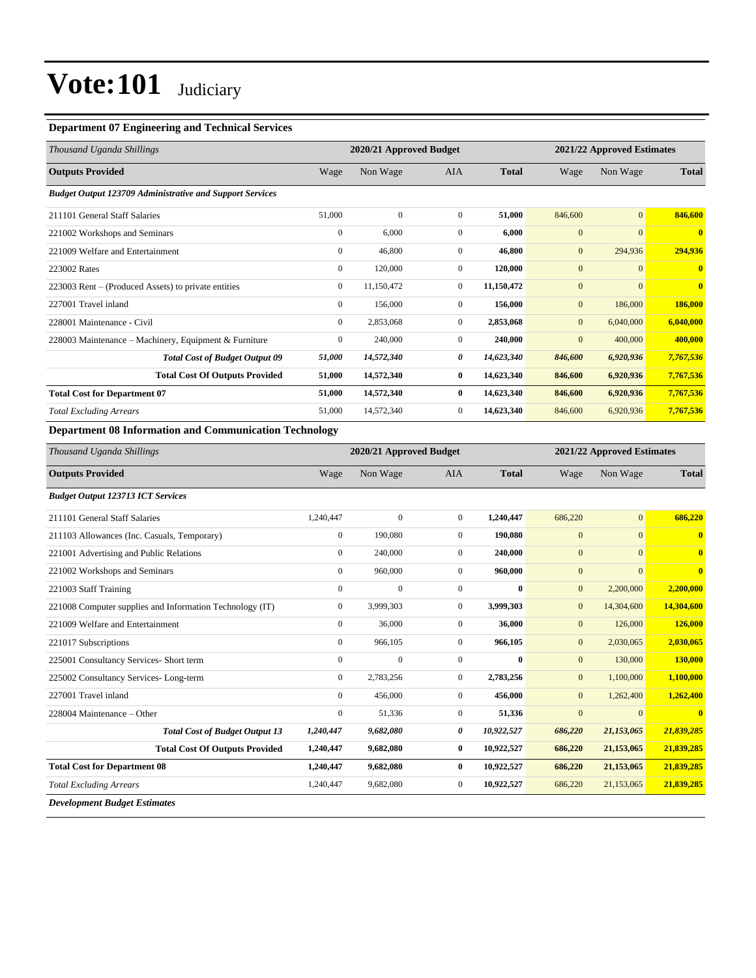### **Department 07 Engineering and Technical Services**

| Thousand Uganda Shillings                                       | 2020/21 Approved Budget |              |                |              |              | 2021/22 Approved Estimates |              |  |
|-----------------------------------------------------------------|-------------------------|--------------|----------------|--------------|--------------|----------------------------|--------------|--|
| <b>Outputs Provided</b>                                         | Wage                    | Non Wage     | <b>AIA</b>     | <b>Total</b> | Wage         | Non Wage                   | <b>Total</b> |  |
| <b>Budget Output 123709 Administrative and Support Services</b> |                         |              |                |              |              |                            |              |  |
| 211101 General Staff Salaries                                   | 51,000                  | $\mathbf{0}$ | $\mathbf{0}$   | 51,000       | 846,600      | $\overline{0}$             | 846,600      |  |
| 221002 Workshops and Seminars                                   | $\boldsymbol{0}$        | 6,000        | $\mathbf{0}$   | 6,000        | $\mathbf{0}$ | $\overline{0}$             | $\mathbf{0}$ |  |
| 221009 Welfare and Entertainment                                | $\mathbf{0}$            | 46.800       | $\mathbf{0}$   | 46.800       | $\mathbf{0}$ | 294,936                    | 294,936      |  |
| 223002 Rates                                                    | $\mathbf{0}$            | 120,000      | $\mathbf{0}$   | 120,000      | $\mathbf{0}$ | $\overline{0}$             | $\mathbf{0}$ |  |
| 223003 Rent – (Produced Assets) to private entities             | $\mathbf{0}$            | 11,150,472   | $\mathbf{0}$   | 11,150,472   | $\mathbf{0}$ | $\overline{0}$             | $\mathbf{0}$ |  |
| 227001 Travel inland                                            | $\mathbf{0}$            | 156,000      | $\overline{0}$ | 156,000      | $\mathbf{0}$ | 186,000                    | 186,000      |  |
| 228001 Maintenance - Civil                                      | $\mathbf{0}$            | 2,853,068    | $\mathbf{0}$   | 2,853,068    | $\mathbf{0}$ | 6,040,000                  | 6,040,000    |  |
| 228003 Maintenance – Machinery, Equipment & Furniture           | $\mathbf{0}$            | 240,000      | $\overline{0}$ | 240,000      | $\mathbf{0}$ | 400,000                    | 400,000      |  |
| <b>Total Cost of Budget Output 09</b>                           | 51,000                  | 14,572,340   | 0              | 14,623,340   | 846,600      | 6,920,936                  | 7,767,536    |  |
| <b>Total Cost Of Outputs Provided</b>                           | 51,000                  | 14,572,340   | 0              | 14,623,340   | 846,600      | 6,920,936                  | 7,767,536    |  |
| <b>Total Cost for Department 07</b>                             | 51,000                  | 14,572,340   | $\bf{0}$       | 14,623,340   | 846,600      | 6,920,936                  | 7,767,536    |  |
| <b>Total Excluding Arrears</b>                                  | 51,000                  | 14,572,340   | $\mathbf{0}$   | 14,623,340   | 846,600      | 6,920,936                  | 7,767,536    |  |
| <b>Department 08 Information and Communication Technology</b>   |                         |              |                |              |              |                            |              |  |

| Thousand Uganda Shillings                                | 2020/21 Approved Budget |                  |                |              |                | 2021/22 Approved Estimates |                         |  |
|----------------------------------------------------------|-------------------------|------------------|----------------|--------------|----------------|----------------------------|-------------------------|--|
| <b>Outputs Provided</b>                                  | Wage                    | Non Wage         | <b>AIA</b>     | <b>Total</b> | Wage           | Non Wage                   | <b>Total</b>            |  |
| <b>Budget Output 123713 ICT Services</b>                 |                         |                  |                |              |                |                            |                         |  |
| 211101 General Staff Salaries                            | 1,240,447               | $\boldsymbol{0}$ | $\mathbf{0}$   | 1,240,447    | 686,220        | $\mathbf{0}$               | 686,220                 |  |
| 211103 Allowances (Inc. Casuals, Temporary)              | $\overline{0}$          | 190,080          | $\mathbf{0}$   | 190.080      | $\overline{0}$ | $\overline{0}$             | $\overline{\mathbf{0}}$ |  |
| 221001 Advertising and Public Relations                  | $\mathbf{0}$            | 240,000          | $\mathbf{0}$   | 240,000      | $\mathbf{0}$   | $\overline{0}$             | $\overline{\mathbf{0}}$ |  |
| 221002 Workshops and Seminars                            | $\boldsymbol{0}$        | 960,000          | $\mathbf{0}$   | 960,000      | $\mathbf{0}$   | $\overline{0}$             | $\bf{0}$                |  |
| 221003 Staff Training                                    | $\overline{0}$          | $\boldsymbol{0}$ | $\mathbf{0}$   | $\mathbf{0}$ | $\mathbf{0}$   | 2,200,000                  | 2,200,000               |  |
| 221008 Computer supplies and Information Technology (IT) | $\overline{0}$          | 3,999,303        | $\mathbf{0}$   | 3,999,303    | $\mathbf{0}$   | 14,304,600                 | 14,304,600              |  |
| 221009 Welfare and Entertainment                         | $\overline{0}$          | 36,000           | $\mathbf{0}$   | 36,000       | $\mathbf{0}$   | 126,000                    | 126,000                 |  |
| 221017 Subscriptions                                     | $\overline{0}$          | 966,105          | $\mathbf{0}$   | 966,105      | $\mathbf{0}$   | 2,030,065                  | 2,030,065               |  |
| 225001 Consultancy Services- Short term                  | $\mathbf{0}$            | $\mathbf{0}$     | $\mathbf{0}$   | $\bf{0}$     | $\overline{0}$ | 130,000                    | 130,000                 |  |
| 225002 Consultancy Services-Long-term                    | $\overline{0}$          | 2,783,256        | $\mathbf{0}$   | 2,783,256    | $\mathbf{0}$   | 1,100,000                  | 1,100,000               |  |
| 227001 Travel inland                                     | $\overline{0}$          | 456,000          | $\mathbf{0}$   | 456,000      | $\mathbf{0}$   | 1,262,400                  | 1,262,400               |  |
| 228004 Maintenance - Other                               | $\mathbf{0}$            | 51,336           | $\overline{0}$ | 51,336       | $\overline{0}$ | $\overline{0}$             | $\overline{\mathbf{0}}$ |  |
| <b>Total Cost of Budget Output 13</b>                    | 1,240,447               | 9,682,080        | 0              | 10,922,527   | 686,220        | 21,153,065                 | 21,839,285              |  |
| <b>Total Cost Of Outputs Provided</b>                    | 1,240,447               | 9,682,080        | $\bf{0}$       | 10,922,527   | 686,220        | 21,153,065                 | 21,839,285              |  |
| <b>Total Cost for Department 08</b>                      | 1,240,447               | 9,682,080        | $\bf{0}$       | 10,922,527   | 686,220        | 21,153,065                 | 21,839,285              |  |
| <b>Total Excluding Arrears</b>                           | 1,240,447               | 9,682,080        | $\mathbf{0}$   | 10,922,527   | 686,220        | 21,153,065                 | 21,839,285              |  |
| <b>Development Budget Estimates</b>                      |                         |                  |                |              |                |                            |                         |  |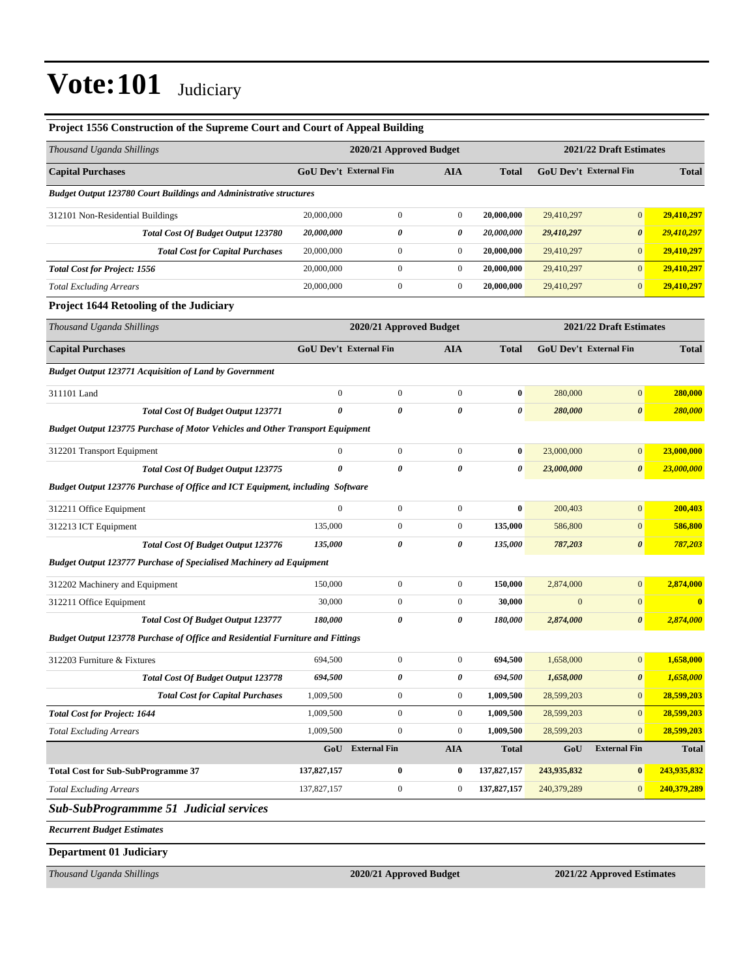| Project 1556 Construction of the Supreme Court and Court of Appeal Building           |                                                       |                         |                  |              |              |                         |              |
|---------------------------------------------------------------------------------------|-------------------------------------------------------|-------------------------|------------------|--------------|--------------|-------------------------|--------------|
| Thousand Uganda Shillings                                                             |                                                       | 2020/21 Approved Budget |                  |              |              | 2021/22 Draft Estimates |              |
| <b>Capital Purchases</b>                                                              |                                                       | GoU Dev't External Fin  | <b>AIA</b>       | <b>Total</b> |              | GoU Dev't External Fin  | <b>Total</b> |
| <b>Budget Output 123780 Court Buildings and Administrative structures</b>             |                                                       |                         |                  |              |              |                         |              |
| 312101 Non-Residential Buildings                                                      | 20,000,000                                            | $\boldsymbol{0}$        | $\boldsymbol{0}$ | 20,000,000   | 29,410,297   | $\mathbf{0}$            | 29,410,297   |
| <b>Total Cost Of Budget Output 123780</b>                                             | 20,000,000                                            | 0                       | 0                | 20,000,000   | 29,410,297   | $\boldsymbol{\theta}$   | 29,410,297   |
| <b>Total Cost for Capital Purchases</b>                                               | 20,000,000                                            | $\boldsymbol{0}$        | $\boldsymbol{0}$ | 20,000,000   | 29,410,297   | $\mathbf{0}$            | 29,410,297   |
| <b>Total Cost for Project: 1556</b>                                                   | 20,000,000                                            | $\boldsymbol{0}$        | $\boldsymbol{0}$ | 20,000,000   | 29,410,297   | $\mathbf{0}$            | 29,410,297   |
| <b>Total Excluding Arrears</b>                                                        | 20,000,000                                            | $\boldsymbol{0}$        | $\boldsymbol{0}$ | 20,000,000   | 29,410,297   | $\mathbf{0}$            | 29,410,297   |
| <b>Project 1644 Retooling of the Judiciary</b>                                        |                                                       |                         |                  |              |              |                         |              |
| Thousand Uganda Shillings                                                             |                                                       | 2020/21 Approved Budget |                  |              |              | 2021/22 Draft Estimates |              |
| <b>Capital Purchases</b>                                                              |                                                       | GoU Dev't External Fin  | <b>AIA</b>       | <b>Total</b> |              | GoU Dev't External Fin  | <b>Total</b> |
| <b>Budget Output 123771 Acquisition of Land by Government</b>                         |                                                       |                         |                  |              |              |                         |              |
| 311101 Land                                                                           | $\mathbf{0}$                                          | $\boldsymbol{0}$        | $\mathbf{0}$     | $\bf{0}$     | 280,000      | $\mathbf{0}$            | 280,000      |
| <b>Total Cost Of Budget Output 123771</b>                                             | 0                                                     | 0                       | 0                | 0            | 280,000      | $\boldsymbol{\theta}$   | 280,000      |
| <b>Budget Output 123775 Purchase of Motor Vehicles and Other Transport Equipment</b>  |                                                       |                         |                  |              |              |                         |              |
| 312201 Transport Equipment                                                            | $\boldsymbol{0}$                                      | $\boldsymbol{0}$        | $\mathbf{0}$     | $\bf{0}$     | 23,000,000   | $\mathbf{0}$            | 23,000,000   |
| <b>Total Cost Of Budget Output 123775</b>                                             | 0                                                     | 0                       | 0                | 0            | 23,000,000   | $\boldsymbol{\theta}$   | 23,000,000   |
| Budget Output 123776 Purchase of Office and ICT Equipment, including Software         |                                                       |                         |                  |              |              |                         |              |
| 312211 Office Equipment                                                               | $\boldsymbol{0}$                                      | $\boldsymbol{0}$        | $\boldsymbol{0}$ | $\bf{0}$     | 200,403      | $\boldsymbol{0}$        | 200,403      |
| 312213 ICT Equipment                                                                  | 135,000                                               | $\boldsymbol{0}$        | $\boldsymbol{0}$ | 135,000      | 586,800      | $\mathbf{0}$            | 586,800      |
| <b>Total Cost Of Budget Output 123776</b>                                             | 135,000                                               | 0                       | 0                | 135,000      | 787,203      | $\boldsymbol{\theta}$   | 787,203      |
| <b>Budget Output 123777 Purchase of Specialised Machinery ad Equipment</b>            |                                                       |                         |                  |              |              |                         |              |
| 312202 Machinery and Equipment                                                        | 150,000                                               | $\boldsymbol{0}$        | $\mathbf{0}$     | 150,000      | 2,874,000    | $\mathbf{0}$            | 2,874,000    |
| 312211 Office Equipment                                                               | 30,000                                                | $\boldsymbol{0}$        | $\boldsymbol{0}$ | 30,000       | $\mathbf{0}$ | $\overline{0}$          | $\bf{0}$     |
| <b>Total Cost Of Budget Output 123777</b>                                             | 180,000                                               | 0                       | 0                | 180,000      | 2,874,000    | $\boldsymbol{\theta}$   | 2,874,000    |
| <b>Budget Output 123778 Purchase of Office and Residential Furniture and Fittings</b> |                                                       |                         |                  |              |              |                         |              |
| 312203 Furniture & Fixtures                                                           | 694,500                                               | $\boldsymbol{0}$        | $\boldsymbol{0}$ | 694,500      | 1,658,000    | $\mathbf{0}$            | 1,658,000    |
| Total Cost Of Budget Output 123778                                                    | 694,500                                               | 0                       | 0                | 694,500      | 1,658,000    | 0                       | 1,658,000    |
| <b>Total Cost for Capital Purchases</b>                                               | 1,009,500                                             | $\boldsymbol{0}$        | $\mathbf{0}$     | 1,009,500    | 28,599,203   | $\mathbf{0}$            | 28,599,203   |
| <b>Total Cost for Project: 1644</b>                                                   | 1,009,500                                             | $\boldsymbol{0}$        | $\boldsymbol{0}$ | 1,009,500    | 28,599,203   | $\overline{0}$          | 28,599,203   |
| <b>Total Excluding Arrears</b>                                                        | 1,009,500                                             | $\boldsymbol{0}$        | $\boldsymbol{0}$ | 1,009,500    | 28,599,203   | $\mathbf{0}$            | 28,599,203   |
|                                                                                       | GoU                                                   | <b>External Fin</b>     | <b>AIA</b>       | <b>Total</b> | GoU          | <b>External Fin</b>     | <b>Total</b> |
| <b>Total Cost for Sub-SubProgramme 37</b>                                             | 137,827,157                                           | $\boldsymbol{0}$        | $\bf{0}$         | 137,827,157  | 243,935,832  | $\bf{0}$                | 243,935,832  |
| <b>Total Excluding Arrears</b>                                                        | 137,827,157                                           | $\boldsymbol{0}$        | $\boldsymbol{0}$ | 137,827,157  | 240,379,289  | $\mathbf{0}$            | 240,379,289  |
| <b>Sub-SubProgrammme 51 Judicial services</b>                                         |                                                       |                         |                  |              |              |                         |              |
| <b>Recurrent Budget Estimates</b>                                                     |                                                       |                         |                  |              |              |                         |              |
| <b>Department 01 Judiciary</b>                                                        |                                                       |                         |                  |              |              |                         |              |
| Thousand Uganda Shillings                                                             | 2020/21 Approved Budget<br>2021/22 Approved Estimates |                         |                  |              |              |                         |              |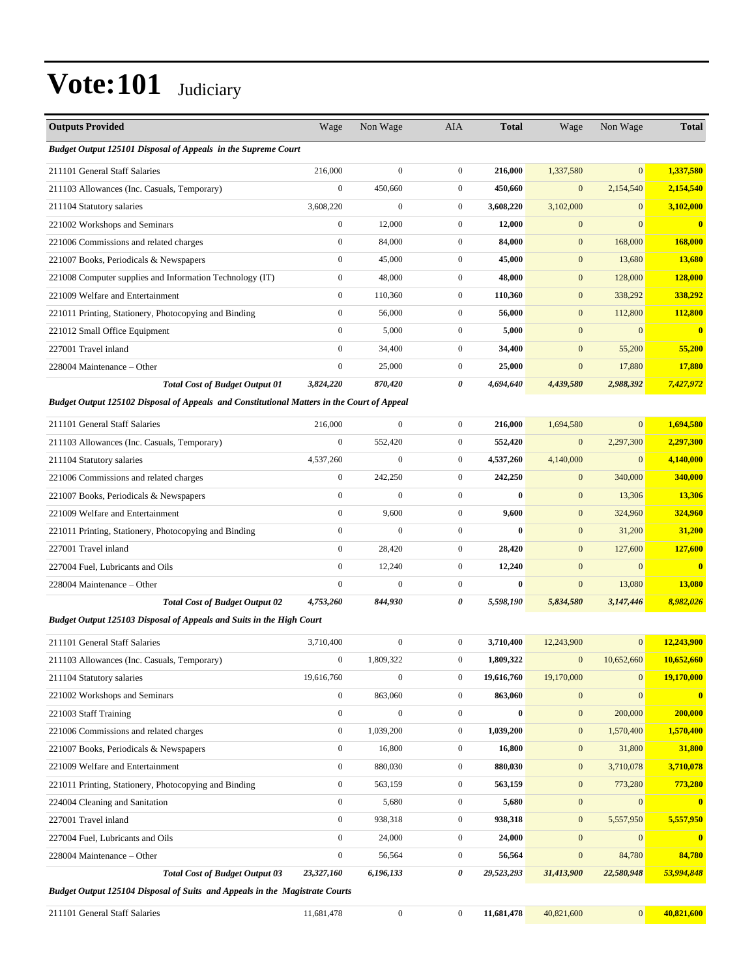| <b>Outputs Provided</b>                                                                    | Wage             | Non Wage         | AIA              | <b>Total</b> | Wage             | Non Wage         | <b>Total</b>            |
|--------------------------------------------------------------------------------------------|------------------|------------------|------------------|--------------|------------------|------------------|-------------------------|
| Budget Output 125101 Disposal of Appeals in the Supreme Court                              |                  |                  |                  |              |                  |                  |                         |
| 211101 General Staff Salaries                                                              | 216,000          | $\mathbf{0}$     | $\overline{0}$   | 216,000      | 1,337,580        | $\mathbf{0}$     | 1,337,580               |
| 211103 Allowances (Inc. Casuals, Temporary)                                                | $\boldsymbol{0}$ | 450,660          | $\overline{0}$   | 450,660      | $\mathbf{0}$     | 2,154,540        | 2,154,540               |
| 211104 Statutory salaries                                                                  | 3,608,220        | $\boldsymbol{0}$ | $\boldsymbol{0}$ | 3,608,220    | 3,102,000        | $\mathbf{0}$     | 3,102,000               |
| 221002 Workshops and Seminars                                                              | $\boldsymbol{0}$ | 12,000           | $\overline{0}$   | 12,000       | $\boldsymbol{0}$ | $\mathbf{0}$     | $\overline{\mathbf{0}}$ |
| 221006 Commissions and related charges                                                     | $\mathbf{0}$     | 84,000           | $\mathbf{0}$     | 84,000       | $\mathbf{0}$     | 168,000          | 168,000                 |
| 221007 Books, Periodicals & Newspapers                                                     | $\boldsymbol{0}$ | 45,000           | $\mathbf{0}$     | 45,000       | $\mathbf{0}$     | 13,680           | 13,680                  |
| 221008 Computer supplies and Information Technology (IT)                                   | $\boldsymbol{0}$ | 48,000           | $\mathbf{0}$     | 48,000       | $\mathbf{0}$     | 128,000          | <b>128,000</b>          |
| 221009 Welfare and Entertainment                                                           | $\boldsymbol{0}$ | 110,360          | $\boldsymbol{0}$ | 110,360      | $\mathbf{0}$     | 338,292          | 338,292                 |
| 221011 Printing, Stationery, Photocopying and Binding                                      | $\boldsymbol{0}$ | 56,000           | $\overline{0}$   | 56,000       | $\mathbf{0}$     | 112,800          | 112,800                 |
| 221012 Small Office Equipment                                                              | $\mathbf{0}$     | 5,000            | $\overline{0}$   | 5,000        | $\mathbf{0}$     | $\mathbf{0}$     | $\mathbf{0}$            |
| 227001 Travel inland                                                                       | $\mathbf{0}$     | 34,400           | $\mathbf{0}$     | 34,400       | $\mathbf{0}$     | 55,200           | 55,200                  |
| 228004 Maintenance – Other                                                                 | $\boldsymbol{0}$ | 25,000           | $\mathbf{0}$     | 25,000       | $\boldsymbol{0}$ | 17,880           | <b>17,880</b>           |
| <b>Total Cost of Budget Output 01</b>                                                      | 3,824,220        | 870,420          | 0                | 4,694,640    | 4,439,580        | 2,988,392        | 7,427,972               |
| Budget Output 125102 Disposal of Appeals and Constitutional Matters in the Court of Appeal |                  |                  |                  |              |                  |                  |                         |
| 211101 General Staff Salaries                                                              | 216,000          | $\overline{0}$   | $\mathbf{0}$     | 216,000      | 1,694,580        | $\overline{0}$   | 1,694,580               |
| 211103 Allowances (Inc. Casuals, Temporary)                                                | $\boldsymbol{0}$ | 552,420          | $\mathbf{0}$     | 552,420      | $\mathbf{0}$     | 2,297,300        | 2,297,300               |
| 211104 Statutory salaries                                                                  | 4,537,260        | 0                | $\mathbf{0}$     | 4,537,260    | 4,140,000        | $\boldsymbol{0}$ | 4,140,000               |
| 221006 Commissions and related charges                                                     | $\boldsymbol{0}$ | 242,250          | $\overline{0}$   | 242,250      | $\mathbf{0}$     | 340,000          | 340,000                 |
| 221007 Books, Periodicals & Newspapers                                                     | $\boldsymbol{0}$ | $\mathbf{0}$     | $\mathbf{0}$     | $\bf{0}$     | $\mathbf{0}$     | 13,306           | 13,306                  |
| 221009 Welfare and Entertainment                                                           | $\mathbf{0}$     | 9,600            | $\overline{0}$   | 9,600        | $\mathbf{0}$     | 324,960          | 324,960                 |
| 221011 Printing, Stationery, Photocopying and Binding                                      | $\boldsymbol{0}$ | $\mathbf{0}$     | $\overline{0}$   | $\bf{0}$     | $\mathbf{0}$     | 31,200           | 31,200                  |
| 227001 Travel inland                                                                       | $\boldsymbol{0}$ | 28,420           | $\mathbf{0}$     | 28,420       | $\mathbf{0}$     | 127,600          | 127,600                 |
| 227004 Fuel, Lubricants and Oils                                                           | $\boldsymbol{0}$ | 12,240           | $\overline{0}$   | 12,240       | $\mathbf{0}$     | $\mathbf{0}$     | $\bf{0}$                |
| 228004 Maintenance – Other                                                                 | $\mathbf{0}$     | $\mathbf{0}$     | $\mathbf{0}$     | $\bf{0}$     | $\boldsymbol{0}$ | 13,080           | 13,080                  |
| <b>Total Cost of Budget Output 02</b>                                                      | 4,753,260        | 844,930          | 0                | 5,598,190    | 5,834,580        | 3,147,446        | 8,982,026               |
| Budget Output 125103 Disposal of Appeals and Suits in the High Court                       |                  |                  |                  |              |                  |                  |                         |
| 211101 General Staff Salaries                                                              | 3,710,400        | $\mathbf{0}$     | $\mathbf{0}$     | 3,710,400    | 12,243,900       | $\mathbf{0}$     | 12,243,900              |
| 211103 Allowances (Inc. Casuals, Temporary)                                                | $\boldsymbol{0}$ | 1.809.322        | $\mathbf{0}$     | 1,809,322    | $\mathbf{0}$     | 10,652,660       | 10,652,660              |
| 211104 Statutory salaries                                                                  | 19,616,760       | $\boldsymbol{0}$ | $\boldsymbol{0}$ | 19,616,760   | 19,170,000       | $\boldsymbol{0}$ | 19,170,000              |
| 221002 Workshops and Seminars                                                              | $\boldsymbol{0}$ | 863,060          | $\boldsymbol{0}$ | 863,060      | $\mathbf{0}$     | $\mathbf{0}$     | $\bf{0}$                |
| 221003 Staff Training                                                                      | $\boldsymbol{0}$ | $\boldsymbol{0}$ | $\boldsymbol{0}$ | $\bf{0}$     | $\boldsymbol{0}$ | 200,000          | 200,000                 |
| 221006 Commissions and related charges                                                     | $\boldsymbol{0}$ | 1,039,200        | $\boldsymbol{0}$ | 1,039,200    | $\boldsymbol{0}$ | 1,570,400        | 1,570,400               |
| 221007 Books, Periodicals & Newspapers                                                     | $\boldsymbol{0}$ | 16,800           | $\boldsymbol{0}$ | 16,800       | $\boldsymbol{0}$ | 31,800           | 31,800                  |
| 221009 Welfare and Entertainment                                                           | $\boldsymbol{0}$ | 880,030          | $\boldsymbol{0}$ | 880,030      | $\boldsymbol{0}$ | 3,710,078        | 3,710,078               |
| 221011 Printing, Stationery, Photocopying and Binding                                      | $\boldsymbol{0}$ | 563,159          | $\boldsymbol{0}$ | 563,159      | $\mathbf{0}$     | 773,280          | 773,280                 |
| 224004 Cleaning and Sanitation                                                             | $\boldsymbol{0}$ | 5,680            | $\boldsymbol{0}$ | 5,680        | $\boldsymbol{0}$ | $\boldsymbol{0}$ | $\bf{0}$                |
| 227001 Travel inland                                                                       | $\boldsymbol{0}$ | 938,318          | $\boldsymbol{0}$ | 938,318      | $\boldsymbol{0}$ | 5,557,950        | 5,557,950               |
| 227004 Fuel, Lubricants and Oils                                                           | $\boldsymbol{0}$ | 24,000           | $\boldsymbol{0}$ | 24,000       | $\mathbf{0}$     | $\boldsymbol{0}$ | $\bf{0}$                |
| 228004 Maintenance – Other                                                                 | $\boldsymbol{0}$ | 56,564           | $\boldsymbol{0}$ | 56,564       | $\boldsymbol{0}$ | 84,780           | 84,780                  |
| <b>Total Cost of Budget Output 03</b>                                                      | 23,327,160       | 6,196,133        | 0                | 29,523,293   | 31,413,900       | 22,580,948       | 53,994,848              |
| Budget Output 125104 Disposal of Suits and Appeals in the Magistrate Courts                |                  |                  |                  |              |                  |                  |                         |
| 211101 General Staff Salaries                                                              | 11,681,478       | $\boldsymbol{0}$ | $\boldsymbol{0}$ | 11,681,478   | 40,821,600       | $\mathbf{0}$     | 40,821,600              |